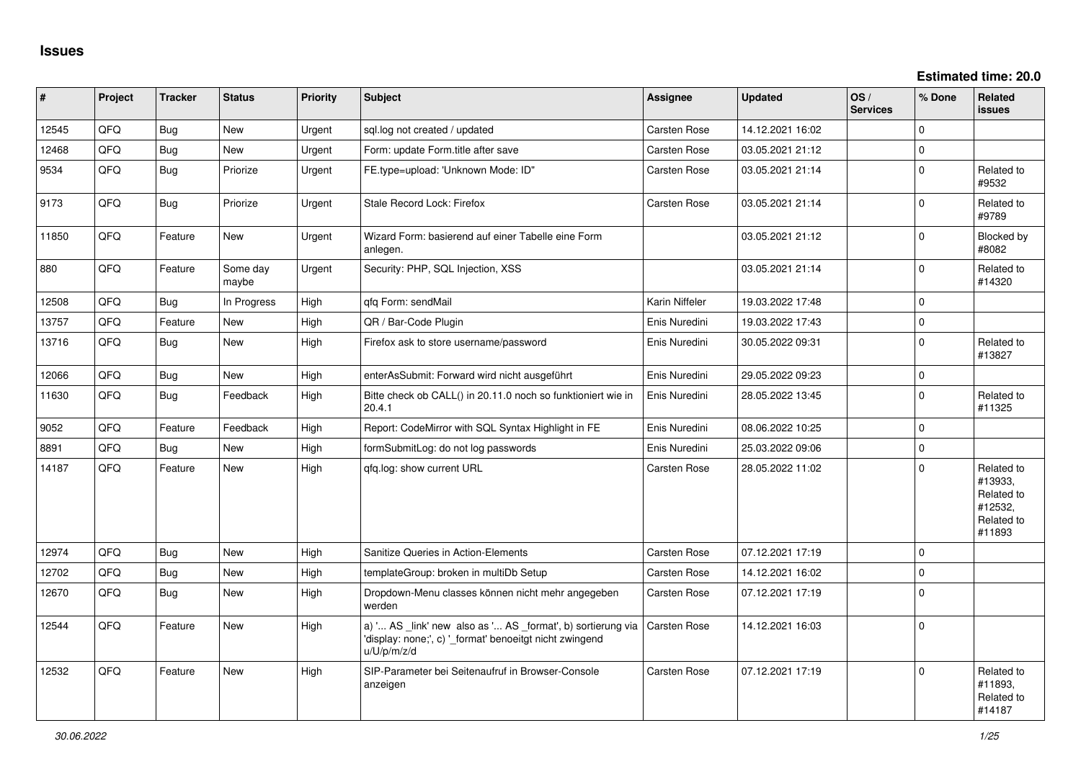**Estimated time: 20.0**

| #     | Project | <b>Tracker</b> | <b>Status</b>     | <b>Priority</b> | Subject                                                                                                                               | Assignee            | <b>Updated</b>   | OS/<br><b>Services</b> | % Done      | Related<br><b>issues</b>                                               |
|-------|---------|----------------|-------------------|-----------------|---------------------------------------------------------------------------------------------------------------------------------------|---------------------|------------------|------------------------|-------------|------------------------------------------------------------------------|
| 12545 | QFQ     | <b>Bug</b>     | <b>New</b>        | Urgent          | sql.log not created / updated                                                                                                         | Carsten Rose        | 14.12.2021 16:02 |                        | $\Omega$    |                                                                        |
| 12468 | QFQ     | Bug            | New               | Urgent          | Form: update Form.title after save                                                                                                    | Carsten Rose        | 03.05.2021 21:12 |                        | $\mathbf 0$ |                                                                        |
| 9534  | QFQ     | <b>Bug</b>     | Priorize          | Urgent          | FE.type=upload: 'Unknown Mode: ID"                                                                                                    | Carsten Rose        | 03.05.2021 21:14 |                        | $\Omega$    | Related to<br>#9532                                                    |
| 9173  | QFQ     | <b>Bug</b>     | Priorize          | Urgent          | Stale Record Lock: Firefox                                                                                                            | Carsten Rose        | 03.05.2021 21:14 |                        | $\Omega$    | Related to<br>#9789                                                    |
| 11850 | QFQ     | Feature        | <b>New</b>        | Urgent          | Wizard Form: basierend auf einer Tabelle eine Form<br>anlegen.                                                                        |                     | 03.05.2021 21:12 |                        | $\Omega$    | Blocked by<br>#8082                                                    |
| 880   | QFQ     | Feature        | Some day<br>maybe | Urgent          | Security: PHP, SQL Injection, XSS                                                                                                     |                     | 03.05.2021 21:14 |                        | $\mathbf 0$ | Related to<br>#14320                                                   |
| 12508 | QFQ     | Bug            | In Progress       | High            | qfq Form: sendMail                                                                                                                    | Karin Niffeler      | 19.03.2022 17:48 |                        | $\mathbf 0$ |                                                                        |
| 13757 | QFQ     | Feature        | <b>New</b>        | High            | QR / Bar-Code Plugin                                                                                                                  | Enis Nuredini       | 19.03.2022 17:43 |                        | $\mathbf 0$ |                                                                        |
| 13716 | QFQ     | Bug            | New               | High            | Firefox ask to store username/password                                                                                                | Enis Nuredini       | 30.05.2022 09:31 |                        | $\mathbf 0$ | Related to<br>#13827                                                   |
| 12066 | QFQ     | <b>Bug</b>     | New               | High            | enterAsSubmit: Forward wird nicht ausgeführt                                                                                          | Enis Nuredini       | 29.05.2022 09:23 |                        | $\mathbf 0$ |                                                                        |
| 11630 | QFQ     | <b>Bug</b>     | Feedback          | High            | Bitte check ob CALL() in 20.11.0 noch so funktioniert wie in<br>20.4.1                                                                | Enis Nuredini       | 28.05.2022 13:45 |                        | $\mathbf 0$ | Related to<br>#11325                                                   |
| 9052  | QFQ     | Feature        | Feedback          | High            | Report: CodeMirror with SQL Syntax Highlight in FE                                                                                    | Enis Nuredini       | 08.06.2022 10:25 |                        | $\mathbf 0$ |                                                                        |
| 8891  | QFQ     | Bug            | <b>New</b>        | High            | formSubmitLog: do not log passwords                                                                                                   | Enis Nuredini       | 25.03.2022 09:06 |                        | $\mathbf 0$ |                                                                        |
| 14187 | QFQ     | Feature        | New               | High            | gfg.log: show current URL                                                                                                             | Carsten Rose        | 28.05.2022 11:02 |                        | $\mathbf 0$ | Related to<br>#13933,<br>Related to<br>#12532,<br>Related to<br>#11893 |
| 12974 | QFQ     | <b>Bug</b>     | <b>New</b>        | High            | Sanitize Queries in Action-Elements                                                                                                   | Carsten Rose        | 07.12.2021 17:19 |                        | $\Omega$    |                                                                        |
| 12702 | QFQ     | <b>Bug</b>     | New               | High            | templateGroup: broken in multiDb Setup                                                                                                | Carsten Rose        | 14.12.2021 16:02 |                        | $\mathbf 0$ |                                                                        |
| 12670 | QFQ     | Bug            | New               | High            | Dropdown-Menu classes können nicht mehr angegeben<br>werden                                                                           | Carsten Rose        | 07.12.2021 17:19 |                        | $\mathbf 0$ |                                                                        |
| 12544 | QFQ     | Feature        | <b>New</b>        | High            | a) ' AS _link' new also as ' AS _format', b) sortierung via<br>'display: none;', c) '_format' benoeitgt nicht zwingend<br>u/U/p/m/z/d | <b>Carsten Rose</b> | 14.12.2021 16:03 |                        | $\mathbf 0$ |                                                                        |
| 12532 | QFQ     | Feature        | New               | High            | SIP-Parameter bei Seitenaufruf in Browser-Console<br>anzeigen                                                                         | Carsten Rose        | 07.12.2021 17:19 |                        | $\mathbf 0$ | Related to<br>#11893,<br>Related to<br>#14187                          |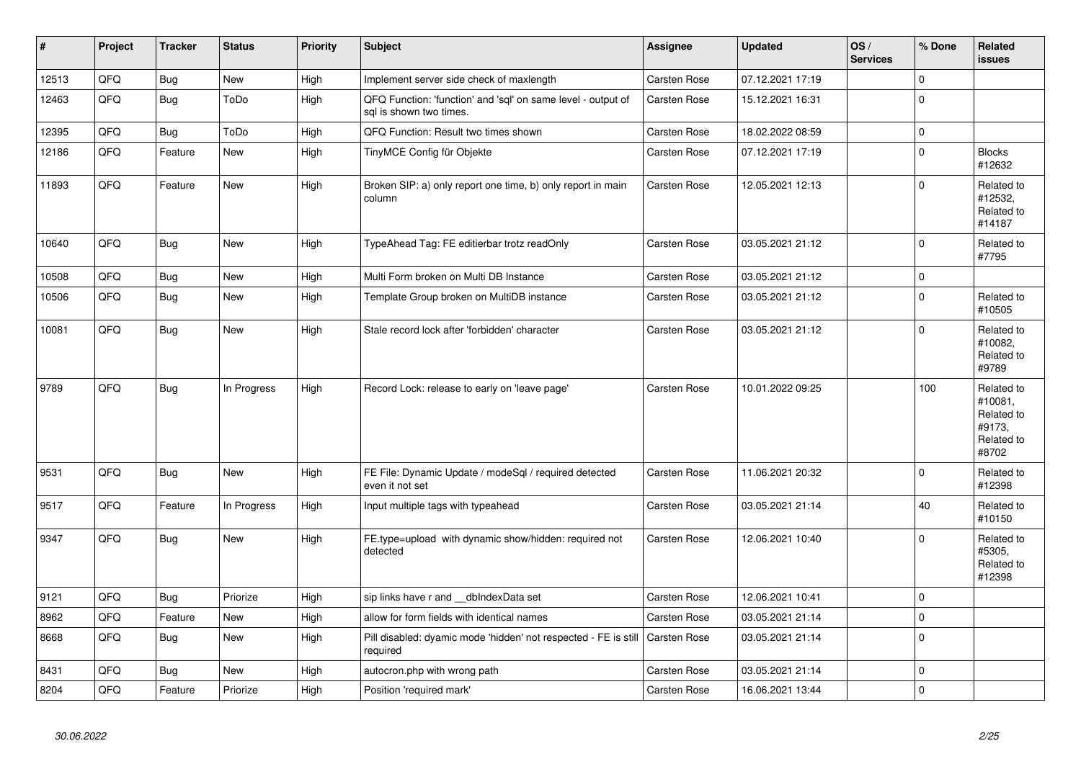| $\pmb{\#}$ | Project | <b>Tracker</b> | <b>Status</b> | <b>Priority</b> | <b>Subject</b>                                                                             | Assignee            | <b>Updated</b>   | OS/<br><b>Services</b> | % Done      | Related<br><b>issues</b>                                             |
|------------|---------|----------------|---------------|-----------------|--------------------------------------------------------------------------------------------|---------------------|------------------|------------------------|-------------|----------------------------------------------------------------------|
| 12513      | QFQ     | Bug            | <b>New</b>    | High            | Implement server side check of maxlength                                                   | Carsten Rose        | 07.12.2021 17:19 |                        | 0           |                                                                      |
| 12463      | QFQ     | <b>Bug</b>     | ToDo          | High            | QFQ Function: 'function' and 'sql' on same level - output of<br>sal is shown two times.    | Carsten Rose        | 15.12.2021 16:31 |                        | $\Omega$    |                                                                      |
| 12395      | QFQ     | <b>Bug</b>     | ToDo          | High            | QFQ Function: Result two times shown                                                       | Carsten Rose        | 18.02.2022 08:59 |                        | $\Omega$    |                                                                      |
| 12186      | QFQ     | Feature        | New           | High            | TinyMCE Config für Objekte                                                                 | Carsten Rose        | 07.12.2021 17:19 |                        | 0           | <b>Blocks</b><br>#12632                                              |
| 11893      | QFQ     | Feature        | New           | High            | Broken SIP: a) only report one time, b) only report in main<br>column                      | Carsten Rose        | 12.05.2021 12:13 |                        | 0           | Related to<br>#12532,<br>Related to<br>#14187                        |
| 10640      | QFQ     | <b>Bug</b>     | New           | High            | TypeAhead Tag: FE editierbar trotz readOnly                                                | Carsten Rose        | 03.05.2021 21:12 |                        | 0           | Related to<br>#7795                                                  |
| 10508      | QFQ     | <b>Bug</b>     | New           | High            | Multi Form broken on Multi DB Instance                                                     | Carsten Rose        | 03.05.2021 21:12 |                        | $\Omega$    |                                                                      |
| 10506      | QFQ     | Bug            | New           | High            | Template Group broken on MultiDB instance                                                  | Carsten Rose        | 03.05.2021 21:12 |                        | $\mathsf 0$ | Related to<br>#10505                                                 |
| 10081      | QFQ     | Bug            | New           | High            | Stale record lock after 'forbidden' character                                              | Carsten Rose        | 03.05.2021 21:12 |                        | 0           | Related to<br>#10082.<br>Related to<br>#9789                         |
| 9789       | QFQ     | <b>Bug</b>     | In Progress   | High            | Record Lock: release to early on 'leave page'                                              | <b>Carsten Rose</b> | 10.01.2022 09:25 |                        | 100         | Related to<br>#10081,<br>Related to<br>#9173,<br>Related to<br>#8702 |
| 9531       | QFQ     | Bug            | <b>New</b>    | High            | FE File: Dynamic Update / modeSql / required detected<br>even it not set                   | Carsten Rose        | 11.06.2021 20:32 |                        | 0           | Related to<br>#12398                                                 |
| 9517       | QFQ     | Feature        | In Progress   | High            | Input multiple tags with typeahead                                                         | Carsten Rose        | 03.05.2021 21:14 |                        | 40          | Related to<br>#10150                                                 |
| 9347       | QFQ     | Bug            | New           | High            | FE.type=upload with dynamic show/hidden: required not<br>detected                          | Carsten Rose        | 12.06.2021 10:40 |                        | $\Omega$    | Related to<br>#5305,<br>Related to<br>#12398                         |
| 9121       | QFQ     | <b>Bug</b>     | Priorize      | High            | sip links have r and __dbIndexData set                                                     | Carsten Rose        | 12.06.2021 10:41 |                        | $\Omega$    |                                                                      |
| 8962       | QFQ     | Feature        | New           | High            | allow for form fields with identical names                                                 | <b>Carsten Rose</b> | 03.05.2021 21:14 |                        | 0           |                                                                      |
| 8668       | QFQ     | <b>Bug</b>     | <b>New</b>    | High            | Pill disabled: dyamic mode 'hidden' not respected - FE is still   Carsten Rose<br>required |                     | 03.05.2021 21:14 |                        | $\Omega$    |                                                                      |
| 8431       | QFQ     | Bug            | New           | High            | autocron.php with wrong path                                                               | Carsten Rose        | 03.05.2021 21:14 |                        | 0           |                                                                      |
| 8204       | QFQ     | Feature        | Priorize      | High            | Position 'required mark'                                                                   | Carsten Rose        | 16.06.2021 13:44 |                        | 0           |                                                                      |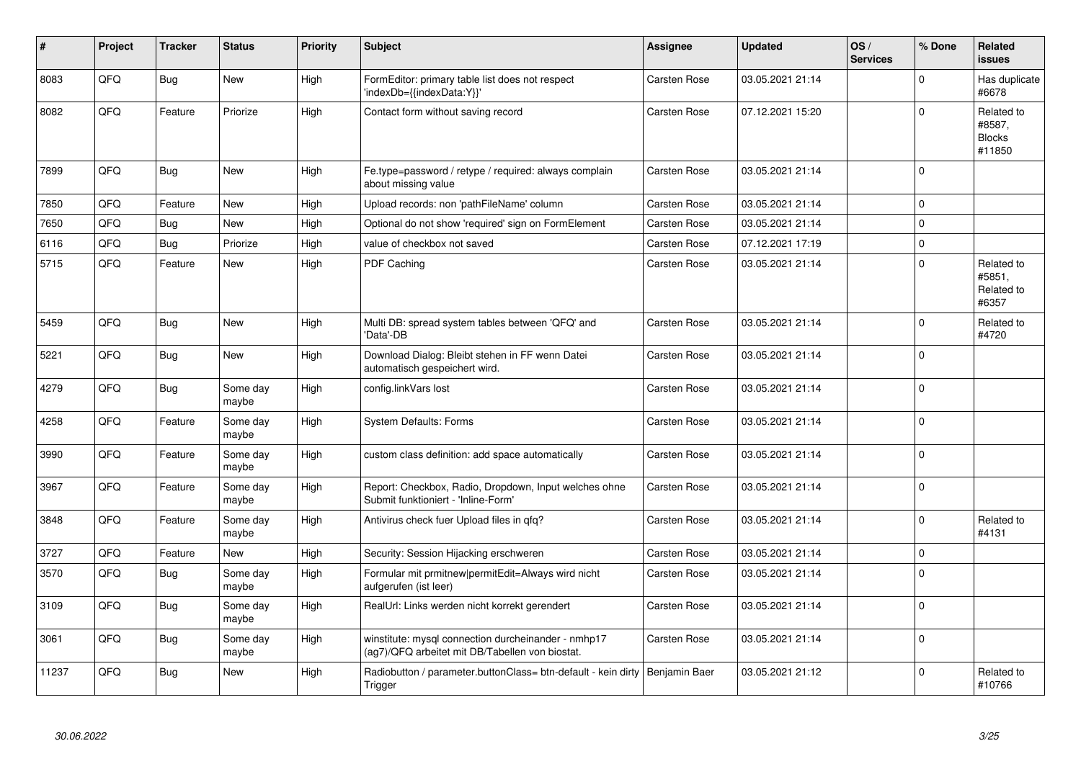| #     | Project | <b>Tracker</b> | <b>Status</b>     | <b>Priority</b> | <b>Subject</b>                                                                                         | <b>Assignee</b>     | <b>Updated</b>   | OS/<br><b>Services</b> | % Done      | <b>Related</b><br><b>issues</b>                 |
|-------|---------|----------------|-------------------|-----------------|--------------------------------------------------------------------------------------------------------|---------------------|------------------|------------------------|-------------|-------------------------------------------------|
| 8083  | QFQ     | Bug            | <b>New</b>        | High            | FormEditor: primary table list does not respect<br>'indexDb={{indexData:Y}}'                           | <b>Carsten Rose</b> | 03.05.2021 21:14 |                        | $\Omega$    | Has duplicate<br>#6678                          |
| 8082  | QFQ     | Feature        | Priorize          | High            | Contact form without saving record                                                                     | Carsten Rose        | 07.12.2021 15:20 |                        | $\Omega$    | Related to<br>#8587,<br><b>Blocks</b><br>#11850 |
| 7899  | QFQ     | <b>Bug</b>     | New               | High            | Fe.type=password / retype / required: always complain<br>about missing value                           | Carsten Rose        | 03.05.2021 21:14 |                        | $\Omega$    |                                                 |
| 7850  | QFQ     | Feature        | New               | High            | Upload records: non 'pathFileName' column                                                              | Carsten Rose        | 03.05.2021 21:14 |                        | $\mathbf 0$ |                                                 |
| 7650  | QFQ     | <b>Bug</b>     | New               | High            | Optional do not show 'required' sign on FormElement                                                    | Carsten Rose        | 03.05.2021 21:14 |                        | $\pmb{0}$   |                                                 |
| 6116  | QFQ     | Bug            | Priorize          | High            | value of checkbox not saved                                                                            | Carsten Rose        | 07.12.2021 17:19 |                        | $\mathbf 0$ |                                                 |
| 5715  | QFQ     | Feature        | <b>New</b>        | High            | PDF Caching                                                                                            | <b>Carsten Rose</b> | 03.05.2021 21:14 |                        | $\Omega$    | Related to<br>#5851,<br>Related to<br>#6357     |
| 5459  | QFQ     | Bug            | <b>New</b>        | High            | Multi DB: spread system tables between 'QFQ' and<br>'Data'-DB                                          | Carsten Rose        | 03.05.2021 21:14 |                        | $\mathbf 0$ | Related to<br>#4720                             |
| 5221  | QFQ     | <b>Bug</b>     | New               | High            | Download Dialog: Bleibt stehen in FF wenn Datei<br>automatisch gespeichert wird.                       | Carsten Rose        | 03.05.2021 21:14 |                        | $\Omega$    |                                                 |
| 4279  | QFQ     | Bug            | Some day<br>maybe | High            | config.linkVars lost                                                                                   | Carsten Rose        | 03.05.2021 21:14 |                        | $\Omega$    |                                                 |
| 4258  | QFQ     | Feature        | Some day<br>maybe | High            | <b>System Defaults: Forms</b>                                                                          | <b>Carsten Rose</b> | 03.05.2021 21:14 |                        | $\mathbf 0$ |                                                 |
| 3990  | QFQ     | Feature        | Some day<br>maybe | High            | custom class definition: add space automatically                                                       | <b>Carsten Rose</b> | 03.05.2021 21:14 |                        | $\Omega$    |                                                 |
| 3967  | QFQ     | Feature        | Some day<br>maybe | High            | Report: Checkbox, Radio, Dropdown, Input welches ohne<br>Submit funktioniert - 'Inline-Form'           | Carsten Rose        | 03.05.2021 21:14 |                        | $\Omega$    |                                                 |
| 3848  | QFQ     | Feature        | Some day<br>maybe | High            | Antivirus check fuer Upload files in qfq?                                                              | Carsten Rose        | 03.05.2021 21:14 |                        | $\Omega$    | Related to<br>#4131                             |
| 3727  | QFQ     | Feature        | <b>New</b>        | High            | Security: Session Hijacking erschweren                                                                 | Carsten Rose        | 03.05.2021 21:14 |                        | $\pmb{0}$   |                                                 |
| 3570  | QFQ     | Bug            | Some day<br>maybe | High            | Formular mit prmitnew permitEdit=Always wird nicht<br>aufgerufen (ist leer)                            | <b>Carsten Rose</b> | 03.05.2021 21:14 |                        | $\Omega$    |                                                 |
| 3109  | QFQ     | Bug            | Some day<br>maybe | High            | RealUrl: Links werden nicht korrekt gerendert                                                          | Carsten Rose        | 03.05.2021 21:14 |                        | $\mathbf 0$ |                                                 |
| 3061  | QFQ     | Bug            | Some day<br>maybe | High            | winstitute: mysql connection durcheinander - nmhp17<br>(ag7)/QFQ arbeitet mit DB/Tabellen von biostat. | Carsten Rose        | 03.05.2021 21:14 |                        | $\Omega$    |                                                 |
| 11237 | QFQ     | Bug            | New               | High            | Radiobutton / parameter.buttonClass= btn-default - kein dirty<br>Trigger                               | Benjamin Baer       | 03.05.2021 21:12 |                        | $\Omega$    | Related to<br>#10766                            |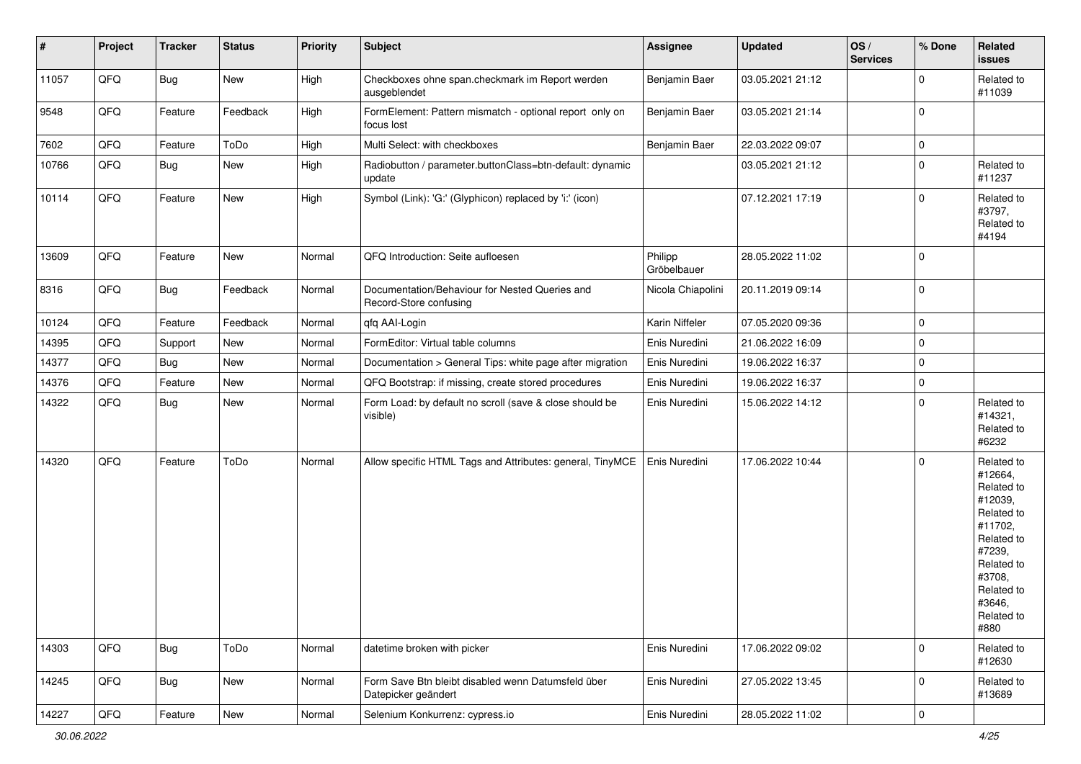| $\sharp$ | Project | <b>Tracker</b> | <b>Status</b> | <b>Priority</b> | <b>Subject</b>                                                            | <b>Assignee</b>        | <b>Updated</b>   | OS/<br><b>Services</b> | % Done              | Related<br><b>issues</b>                                                                                                                                              |
|----------|---------|----------------|---------------|-----------------|---------------------------------------------------------------------------|------------------------|------------------|------------------------|---------------------|-----------------------------------------------------------------------------------------------------------------------------------------------------------------------|
| 11057    | QFQ     | <b>Bug</b>     | New           | High            | Checkboxes ohne span.checkmark im Report werden<br>ausgeblendet           | Benjamin Baer          | 03.05.2021 21:12 |                        | $\mathbf 0$         | Related to<br>#11039                                                                                                                                                  |
| 9548     | QFQ     | Feature        | Feedback      | High            | FormElement: Pattern mismatch - optional report only on<br>focus lost     | Benjamin Baer          | 03.05.2021 21:14 |                        | $\mathbf 0$         |                                                                                                                                                                       |
| 7602     | QFQ     | Feature        | ToDo          | High            | Multi Select: with checkboxes                                             | Benjamin Baer          | 22.03.2022 09:07 |                        | $\pmb{0}$           |                                                                                                                                                                       |
| 10766    | QFQ     | <b>Bug</b>     | New           | High            | Radiobutton / parameter.buttonClass=btn-default: dynamic<br>update        |                        | 03.05.2021 21:12 |                        | $\mathbf 0$         | Related to<br>#11237                                                                                                                                                  |
| 10114    | QFQ     | Feature        | New           | High            | Symbol (Link): 'G:' (Glyphicon) replaced by 'i:' (icon)                   |                        | 07.12.2021 17:19 |                        | $\Omega$            | Related to<br>#3797,<br>Related to<br>#4194                                                                                                                           |
| 13609    | QFQ     | Feature        | <b>New</b>    | Normal          | QFQ Introduction: Seite aufloesen                                         | Philipp<br>Gröbelbauer | 28.05.2022 11:02 |                        | $\mathbf 0$         |                                                                                                                                                                       |
| 8316     | QFQ     | Bug            | Feedback      | Normal          | Documentation/Behaviour for Nested Queries and<br>Record-Store confusing  | Nicola Chiapolini      | 20.11.2019 09:14 |                        | $\mathbf 0$         |                                                                                                                                                                       |
| 10124    | QFQ     | Feature        | Feedback      | Normal          | qfq AAI-Login                                                             | Karin Niffeler         | 07.05.2020 09:36 |                        | 0                   |                                                                                                                                                                       |
| 14395    | QFQ     | Support        | New           | Normal          | FormEditor: Virtual table columns                                         | Enis Nuredini          | 21.06.2022 16:09 |                        | $\mathbf 0$         |                                                                                                                                                                       |
| 14377    | QFQ     | Bug            | New           | Normal          | Documentation > General Tips: white page after migration                  | Enis Nuredini          | 19.06.2022 16:37 |                        | $\pmb{0}$           |                                                                                                                                                                       |
| 14376    | QFQ     | Feature        | New           | Normal          | QFQ Bootstrap: if missing, create stored procedures                       | Enis Nuredini          | 19.06.2022 16:37 |                        | $\pmb{0}$           |                                                                                                                                                                       |
| 14322    | QFQ     | <b>Bug</b>     | New           | Normal          | Form Load: by default no scroll (save & close should be<br>visible)       | Enis Nuredini          | 15.06.2022 14:12 |                        | $\mathbf 0$         | Related to<br>#14321,<br>Related to<br>#6232                                                                                                                          |
| 14320    | QFQ     | Feature        | ToDo          | Normal          | Allow specific HTML Tags and Attributes: general, TinyMCE                 | Enis Nuredini          | 17.06.2022 10:44 |                        | $\Omega$            | Related to<br>#12664,<br>Related to<br>#12039,<br>Related to<br>#11702,<br>Related to<br>#7239,<br>Related to<br>#3708,<br>Related to<br>#3646,<br>Related to<br>#880 |
| 14303    | QFQ     | Bug            | ToDo          | Normal          | datetime broken with picker                                               | Enis Nuredini          | 17.06.2022 09:02 |                        | 0                   | Related to<br>#12630                                                                                                                                                  |
| 14245    | QFQ     | Bug            | New           | Normal          | Form Save Btn bleibt disabled wenn Datumsfeld über<br>Datepicker geändert | Enis Nuredini          | 27.05.2022 13:45 |                        | $\mathbf 0$         | Related to<br>#13689                                                                                                                                                  |
| 14227    | QFG     | Feature        | New           | Normal          | Selenium Konkurrenz: cypress.io                                           | Enis Nuredini          | 28.05.2022 11:02 |                        | $\mathsf{O}\xspace$ |                                                                                                                                                                       |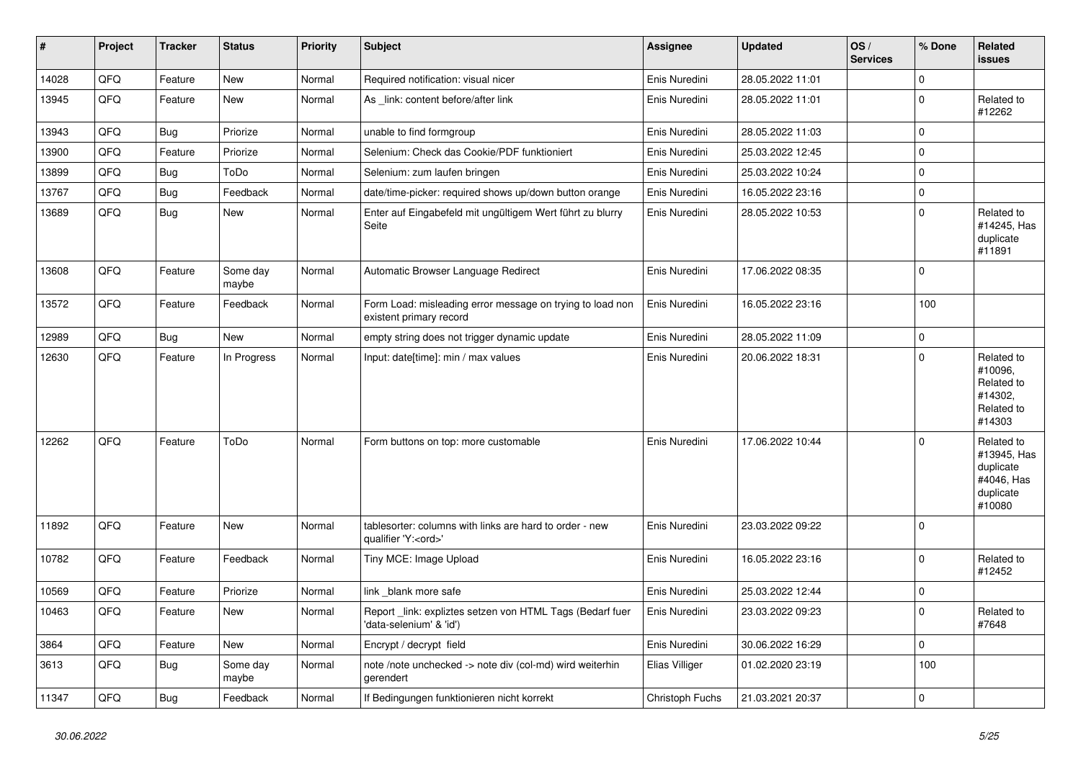| $\vert$ # | Project | <b>Tracker</b> | <b>Status</b>     | <b>Priority</b> | <b>Subject</b>                                                                        | <b>Assignee</b> | <b>Updated</b>   | OS/<br><b>Services</b> | % Done      | Related<br>issues                                                           |
|-----------|---------|----------------|-------------------|-----------------|---------------------------------------------------------------------------------------|-----------------|------------------|------------------------|-------------|-----------------------------------------------------------------------------|
| 14028     | QFQ     | Feature        | New               | Normal          | Required notification: visual nicer                                                   | Enis Nuredini   | 28.05.2022 11:01 |                        | $\mathbf 0$ |                                                                             |
| 13945     | QFQ     | Feature        | New               | Normal          | As link: content before/after link                                                    | Enis Nuredini   | 28.05.2022 11:01 |                        | $\mathbf 0$ | Related to<br>#12262                                                        |
| 13943     | QFQ     | <b>Bug</b>     | Priorize          | Normal          | unable to find formgroup                                                              | Enis Nuredini   | 28.05.2022 11:03 |                        | $\Omega$    |                                                                             |
| 13900     | QFQ     | Feature        | Priorize          | Normal          | Selenium: Check das Cookie/PDF funktioniert                                           | Enis Nuredini   | 25.03.2022 12:45 |                        | $\Omega$    |                                                                             |
| 13899     | QFQ     | <b>Bug</b>     | ToDo              | Normal          | Selenium: zum laufen bringen                                                          | Enis Nuredini   | 25.03.2022 10:24 |                        | $\mathbf 0$ |                                                                             |
| 13767     | QFQ     | <b>Bug</b>     | Feedback          | Normal          | date/time-picker: required shows up/down button orange                                | Enis Nuredini   | 16.05.2022 23:16 |                        | $\mathbf 0$ |                                                                             |
| 13689     | QFQ     | <b>Bug</b>     | New               | Normal          | Enter auf Eingabefeld mit ungültigem Wert führt zu blurry<br>Seite                    | Enis Nuredini   | 28.05.2022 10:53 |                        | $\mathbf 0$ | Related to<br>#14245, Has<br>duplicate<br>#11891                            |
| 13608     | QFQ     | Feature        | Some day<br>maybe | Normal          | Automatic Browser Language Redirect                                                   | Enis Nuredini   | 17.06.2022 08:35 |                        | $\mathbf 0$ |                                                                             |
| 13572     | QFQ     | Feature        | Feedback          | Normal          | Form Load: misleading error message on trying to load non<br>existent primary record  | Enis Nuredini   | 16.05.2022 23:16 |                        | 100         |                                                                             |
| 12989     | QFQ     | Bug            | <b>New</b>        | Normal          | empty string does not trigger dynamic update                                          | Enis Nuredini   | 28.05.2022 11:09 |                        | $\pmb{0}$   |                                                                             |
| 12630     | QFQ     | Feature        | In Progress       | Normal          | Input: date[time]: min / max values                                                   | Enis Nuredini   | 20.06.2022 18:31 |                        | $\mathbf 0$ | Related to<br>#10096,<br>Related to<br>#14302,<br>Related to<br>#14303      |
| 12262     | QFQ     | Feature        | ToDo              | Normal          | Form buttons on top: more customable                                                  | Enis Nuredini   | 17.06.2022 10:44 |                        | $\Omega$    | Related to<br>#13945, Has<br>duplicate<br>#4046, Has<br>duplicate<br>#10080 |
| 11892     | QFQ     | Feature        | New               | Normal          | tablesorter: columns with links are hard to order - new<br>qualifier 'Y: <ord>'</ord> | Enis Nuredini   | 23.03.2022 09:22 |                        | $\Omega$    |                                                                             |
| 10782     | QFQ     | Feature        | Feedback          | Normal          | Tiny MCE: Image Upload                                                                | Enis Nuredini   | 16.05.2022 23:16 |                        | $\mathbf 0$ | Related to<br>#12452                                                        |
| 10569     | QFQ     | Feature        | Priorize          | Normal          | link _blank more safe                                                                 | Enis Nuredini   | 25.03.2022 12:44 |                        | $\pmb{0}$   |                                                                             |
| 10463     | QFQ     | Feature        | New               | Normal          | Report link: expliztes setzen von HTML Tags (Bedarf fuer<br>'data-selenium' & 'id')   | Enis Nuredini   | 23.03.2022 09:23 |                        | $\mathbf 0$ | Related to<br>#7648                                                         |
| 3864      | QFQ     | Feature        | New               | Normal          | Encrypt / decrypt field                                                               | Enis Nuredini   | 30.06.2022 16:29 |                        | $\mathbf 0$ |                                                                             |
| 3613      | QFQ     | Bug            | Some day<br>maybe | Normal          | note /note unchecked -> note div (col-md) wird weiterhin<br>gerendert                 | Elias Villiger  | 01.02.2020 23:19 |                        | 100         |                                                                             |
| 11347     | QFQ     | <b>Bug</b>     | Feedback          | Normal          | If Bedingungen funktionieren nicht korrekt                                            | Christoph Fuchs | 21.03.2021 20:37 |                        | $\mathbf 0$ |                                                                             |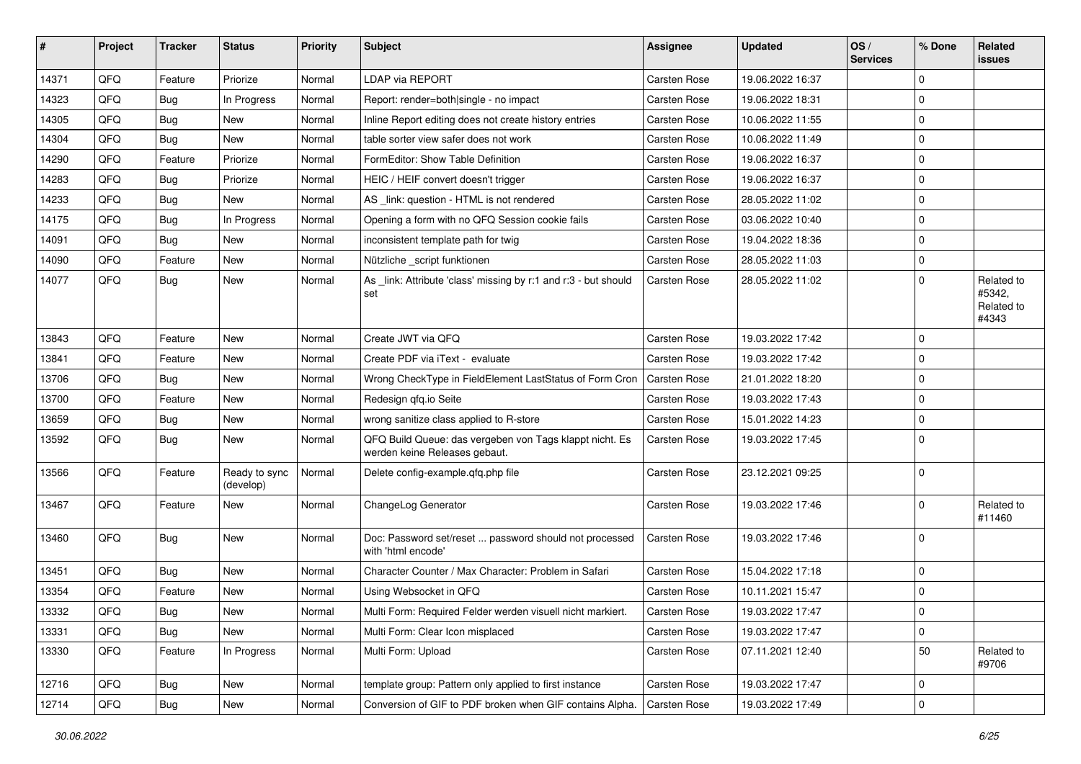| #     | Project | <b>Tracker</b> | <b>Status</b>              | <b>Priority</b> | <b>Subject</b>                                                                           | <b>Assignee</b>     | <b>Updated</b>   | OS/<br><b>Services</b> | % Done         | Related<br>issues                           |
|-------|---------|----------------|----------------------------|-----------------|------------------------------------------------------------------------------------------|---------------------|------------------|------------------------|----------------|---------------------------------------------|
| 14371 | QFQ     | Feature        | Priorize                   | Normal          | LDAP via REPORT                                                                          | Carsten Rose        | 19.06.2022 16:37 |                        | $\Omega$       |                                             |
| 14323 | QFQ     | <b>Bug</b>     | In Progress                | Normal          | Report: render=both single - no impact                                                   | Carsten Rose        | 19.06.2022 18:31 |                        | $\Omega$       |                                             |
| 14305 | QFQ     | <b>Bug</b>     | <b>New</b>                 | Normal          | Inline Report editing does not create history entries                                    | Carsten Rose        | 10.06.2022 11:55 |                        | $\Omega$       |                                             |
| 14304 | QFQ     | Bug            | <b>New</b>                 | Normal          | table sorter view safer does not work                                                    | Carsten Rose        | 10.06.2022 11:49 |                        | 0              |                                             |
| 14290 | QFQ     | Feature        | Priorize                   | Normal          | FormEditor: Show Table Definition                                                        | Carsten Rose        | 19.06.2022 16:37 |                        | $\Omega$       |                                             |
| 14283 | QFQ     | <b>Bug</b>     | Priorize                   | Normal          | HEIC / HEIF convert doesn't trigger                                                      | <b>Carsten Rose</b> | 19.06.2022 16:37 |                        | $\Omega$       |                                             |
| 14233 | QFQ     | <b>Bug</b>     | New                        | Normal          | AS _link: question - HTML is not rendered                                                | <b>Carsten Rose</b> | 28.05.2022 11:02 |                        | 0              |                                             |
| 14175 | QFQ     | <b>Bug</b>     | In Progress                | Normal          | Opening a form with no QFQ Session cookie fails                                          | Carsten Rose        | 03.06.2022 10:40 |                        | $\Omega$       |                                             |
| 14091 | QFQ     | <b>Bug</b>     | New                        | Normal          | inconsistent template path for twig                                                      | Carsten Rose        | 19.04.2022 18:36 |                        | 0              |                                             |
| 14090 | QFQ     | Feature        | New                        | Normal          | Nützliche _script funktionen                                                             | Carsten Rose        | 28.05.2022 11:03 |                        | 0              |                                             |
| 14077 | QFQ     | Bug            | New                        | Normal          | As _link: Attribute 'class' missing by r:1 and r:3 - but should<br>set                   | <b>Carsten Rose</b> | 28.05.2022 11:02 |                        | $\Omega$       | Related to<br>#5342,<br>Related to<br>#4343 |
| 13843 | QFQ     | Feature        | New                        | Normal          | Create JWT via QFQ                                                                       | Carsten Rose        | 19.03.2022 17:42 |                        | $\mathbf 0$    |                                             |
| 13841 | QFQ     | Feature        | New                        | Normal          | Create PDF via iText - evaluate                                                          | Carsten Rose        | 19.03.2022 17:42 |                        | $\Omega$       |                                             |
| 13706 | QFQ     | <b>Bug</b>     | New                        | Normal          | Wrong CheckType in FieldElement LastStatus of Form Cron                                  | <b>Carsten Rose</b> | 21.01.2022 18:20 |                        | 0              |                                             |
| 13700 | QFQ     | Feature        | <b>New</b>                 | Normal          | Redesign qfq.io Seite                                                                    | Carsten Rose        | 19.03.2022 17:43 |                        | $\Omega$       |                                             |
| 13659 | QFQ     | <b>Bug</b>     | New                        | Normal          | wrong sanitize class applied to R-store                                                  | <b>Carsten Rose</b> | 15.01.2022 14:23 |                        | $\Omega$       |                                             |
| 13592 | QFQ     | Bug            | <b>New</b>                 | Normal          | QFQ Build Queue: das vergeben von Tags klappt nicht. Es<br>werden keine Releases gebaut. | <b>Carsten Rose</b> | 19.03.2022 17:45 |                        | $\Omega$       |                                             |
| 13566 | QFQ     | Feature        | Ready to sync<br>(develop) | Normal          | Delete config-example.gfg.php file                                                       | Carsten Rose        | 23.12.2021 09:25 |                        | $\Omega$       |                                             |
| 13467 | QFQ     | Feature        | New                        | Normal          | ChangeLog Generator                                                                      | Carsten Rose        | 19.03.2022 17:46 |                        | $\Omega$       | Related to<br>#11460                        |
| 13460 | QFQ     | Bug            | New                        | Normal          | Doc: Password set/reset  password should not processed<br>with 'html encode'             | Carsten Rose        | 19.03.2022 17:46 |                        | $\Omega$       |                                             |
| 13451 | QFQ     | Bug            | <b>New</b>                 | Normal          | Character Counter / Max Character: Problem in Safari                                     | Carsten Rose        | 15.04.2022 17:18 |                        | $\mathbf 0$    |                                             |
| 13354 | QFQ     | Feature        | New                        | Normal          | Using Websocket in QFQ                                                                   | Carsten Rose        | 10.11.2021 15:47 |                        | $\mathbf 0$    |                                             |
| 13332 | QFQ     | <b>Bug</b>     | New                        | Normal          | Multi Form: Required Felder werden visuell nicht markiert.                               | Carsten Rose        | 19.03.2022 17:47 |                        | 0              |                                             |
| 13331 | QFQ     | Bug            | New                        | Normal          | Multi Form: Clear Icon misplaced                                                         | Carsten Rose        | 19.03.2022 17:47 |                        | 0              |                                             |
| 13330 | QFQ     | Feature        | In Progress                | Normal          | Multi Form: Upload                                                                       | Carsten Rose        | 07.11.2021 12:40 |                        | 50             | Related to<br>#9706                         |
| 12716 | QFQ     | Bug            | New                        | Normal          | template group: Pattern only applied to first instance                                   | Carsten Rose        | 19.03.2022 17:47 |                        | 0              |                                             |
| 12714 | QFQ     | Bug            | New                        | Normal          | Conversion of GIF to PDF broken when GIF contains Alpha.                                 | Carsten Rose        | 19.03.2022 17:49 |                        | $\overline{0}$ |                                             |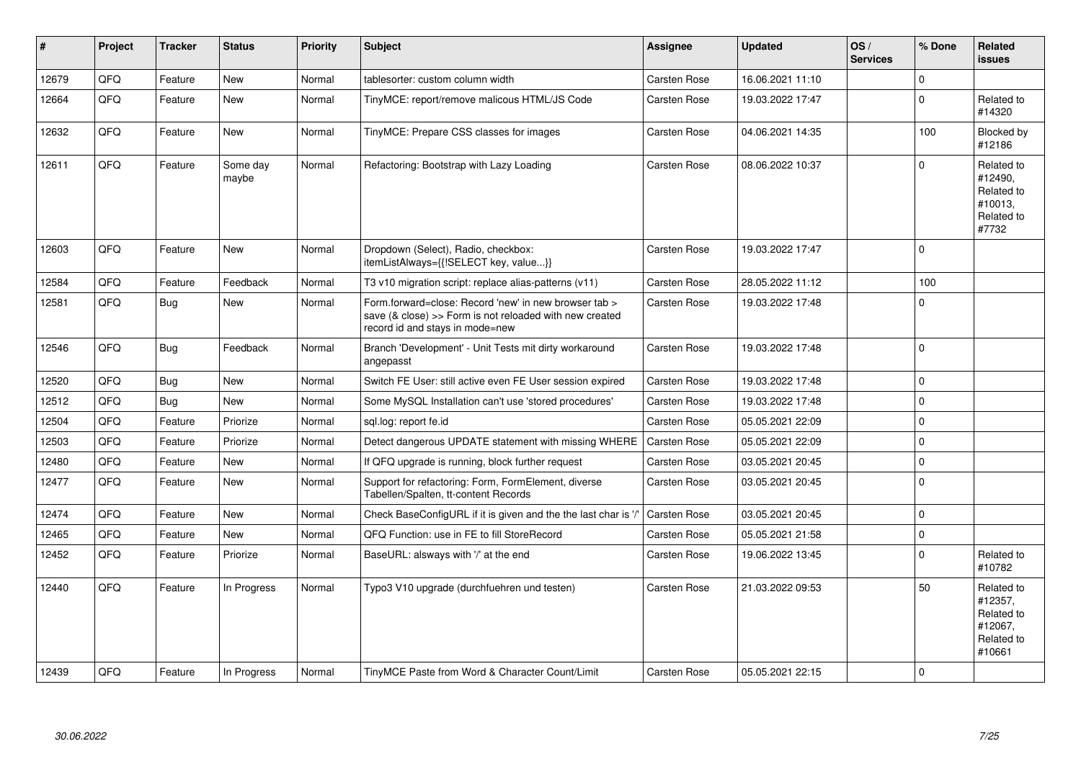| #     | Project | <b>Tracker</b> | <b>Status</b>     | <b>Priority</b> | <b>Subject</b>                                                                                                                                      | Assignee            | <b>Updated</b>   | OS/<br><b>Services</b> | % Done      | <b>Related</b><br><b>issues</b>                                        |
|-------|---------|----------------|-------------------|-----------------|-----------------------------------------------------------------------------------------------------------------------------------------------------|---------------------|------------------|------------------------|-------------|------------------------------------------------------------------------|
| 12679 | QFQ     | Feature        | <b>New</b>        | Normal          | tablesorter: custom column width                                                                                                                    | Carsten Rose        | 16.06.2021 11:10 |                        | $\Omega$    |                                                                        |
| 12664 | QFQ     | Feature        | New               | Normal          | TinyMCE: report/remove malicous HTML/JS Code                                                                                                        | Carsten Rose        | 19.03.2022 17:47 |                        | $\mathbf 0$ | Related to<br>#14320                                                   |
| 12632 | QFQ     | Feature        | <b>New</b>        | Normal          | TinyMCE: Prepare CSS classes for images                                                                                                             | Carsten Rose        | 04.06.2021 14:35 |                        | 100         | Blocked by<br>#12186                                                   |
| 12611 | QFQ     | Feature        | Some day<br>maybe | Normal          | Refactoring: Bootstrap with Lazy Loading                                                                                                            | Carsten Rose        | 08.06.2022 10:37 |                        | $\Omega$    | Related to<br>#12490,<br>Related to<br>#10013.<br>Related to<br>#7732  |
| 12603 | QFQ     | Feature        | New               | Normal          | Dropdown (Select), Radio, checkbox:<br>itemListAlways={{!SELECT key, value}}                                                                        | Carsten Rose        | 19.03.2022 17:47 |                        | $\Omega$    |                                                                        |
| 12584 | QFQ     | Feature        | Feedback          | Normal          | T3 v10 migration script: replace alias-patterns (v11)                                                                                               | Carsten Rose        | 28.05.2022 11:12 |                        | 100         |                                                                        |
| 12581 | QFQ     | <b>Bug</b>     | New               | Normal          | Form.forward=close: Record 'new' in new browser tab ><br>save (& close) >> Form is not reloaded with new created<br>record id and stays in mode=new | Carsten Rose        | 19.03.2022 17:48 |                        | $\Omega$    |                                                                        |
| 12546 | QFQ     | Bug            | Feedback          | Normal          | Branch 'Development' - Unit Tests mit dirty workaround<br>angepasst                                                                                 | Carsten Rose        | 19.03.2022 17:48 |                        | $\Omega$    |                                                                        |
| 12520 | QFQ     | Bug            | <b>New</b>        | Normal          | Switch FE User: still active even FE User session expired                                                                                           | Carsten Rose        | 19.03.2022 17:48 |                        | $\Omega$    |                                                                        |
| 12512 | QFQ     | <b>Bug</b>     | New               | Normal          | Some MySQL Installation can't use 'stored procedures'                                                                                               | Carsten Rose        | 19.03.2022 17:48 |                        | $\mathbf 0$ |                                                                        |
| 12504 | QFQ     | Feature        | Priorize          | Normal          | sql.log: report fe.id                                                                                                                               | <b>Carsten Rose</b> | 05.05.2021 22:09 |                        | $\Omega$    |                                                                        |
| 12503 | QFQ     | Feature        | Priorize          | Normal          | Detect dangerous UPDATE statement with missing WHERE                                                                                                | <b>Carsten Rose</b> | 05.05.2021 22:09 |                        | $\mathbf 0$ |                                                                        |
| 12480 | QFQ     | Feature        | New               | Normal          | If QFQ upgrade is running, block further request                                                                                                    | Carsten Rose        | 03.05.2021 20:45 |                        | 0           |                                                                        |
| 12477 | QFQ     | Feature        | <b>New</b>        | Normal          | Support for refactoring: Form, FormElement, diverse<br>Tabellen/Spalten, tt-content Records                                                         | Carsten Rose        | 03.05.2021 20:45 |                        | $\mathbf 0$ |                                                                        |
| 12474 | QFQ     | Feature        | New               | Normal          | Check BaseConfigURL if it is given and the the last char is '                                                                                       | <b>Carsten Rose</b> | 03.05.2021 20:45 |                        | $\mathbf 0$ |                                                                        |
| 12465 | QFQ     | Feature        | <b>New</b>        | Normal          | QFQ Function: use in FE to fill StoreRecord                                                                                                         | Carsten Rose        | 05.05.2021 21:58 |                        | $\mathbf 0$ |                                                                        |
| 12452 | QFQ     | Feature        | Priorize          | Normal          | BaseURL: alsways with '/' at the end                                                                                                                | Carsten Rose        | 19.06.2022 13:45 |                        | $\mathbf 0$ | Related to<br>#10782                                                   |
| 12440 | QFQ     | Feature        | In Progress       | Normal          | Typo3 V10 upgrade (durchfuehren und testen)                                                                                                         | Carsten Rose        | 21.03.2022 09:53 |                        | 50          | Related to<br>#12357,<br>Related to<br>#12067,<br>Related to<br>#10661 |
| 12439 | QFQ     | Feature        | In Progress       | Normal          | TinyMCE Paste from Word & Character Count/Limit                                                                                                     | <b>Carsten Rose</b> | 05.05.2021 22:15 |                        | $\Omega$    |                                                                        |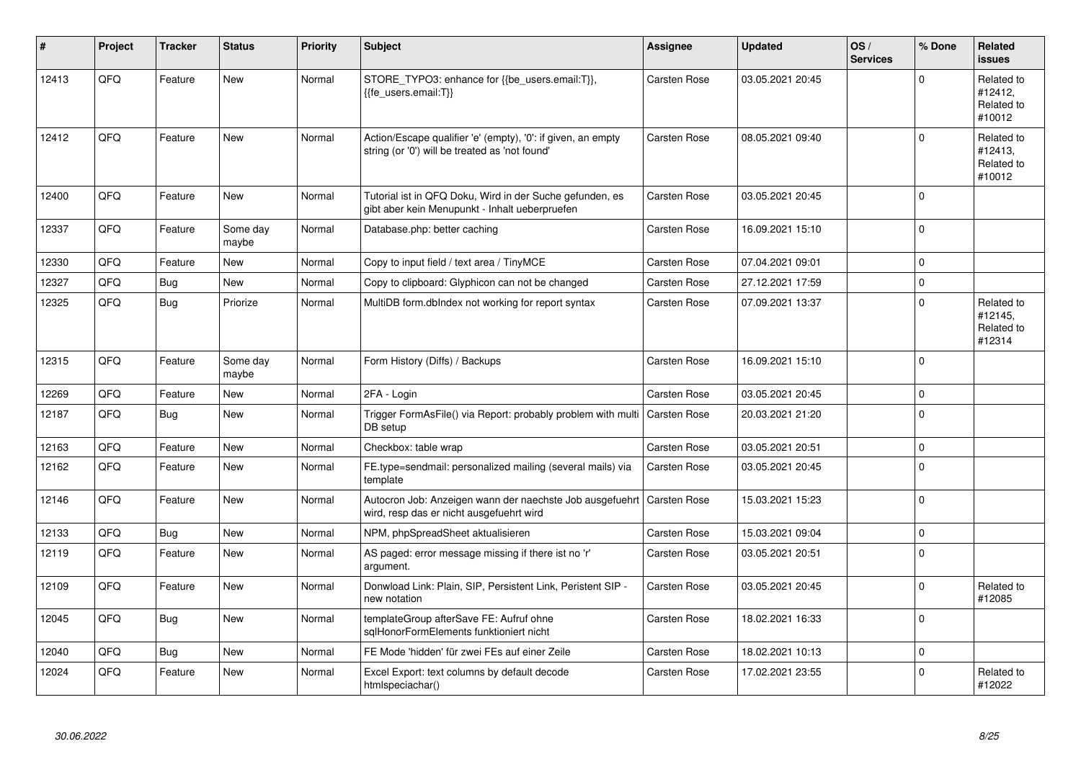| #     | Project    | <b>Tracker</b> | <b>Status</b>     | <b>Priority</b> | <b>Subject</b>                                                                                                      | Assignee            | <b>Updated</b>   | OS/<br><b>Services</b> | % Done      | <b>Related</b><br><b>issues</b>               |
|-------|------------|----------------|-------------------|-----------------|---------------------------------------------------------------------------------------------------------------------|---------------------|------------------|------------------------|-------------|-----------------------------------------------|
| 12413 | QFQ        | Feature        | New               | Normal          | STORE_TYPO3: enhance for {{be_users.email:T}},<br>{{fe users.email:T}}                                              | Carsten Rose        | 03.05.2021 20:45 |                        | $\Omega$    | Related to<br>#12412,<br>Related to<br>#10012 |
| 12412 | QFQ        | Feature        | New               | Normal          | Action/Escape qualifier 'e' (empty), '0': if given, an empty<br>string (or '0') will be treated as 'not found'      | <b>Carsten Rose</b> | 08.05.2021 09:40 |                        | $\mathbf 0$ | Related to<br>#12413,<br>Related to<br>#10012 |
| 12400 | QFQ        | Feature        | <b>New</b>        | Normal          | Tutorial ist in QFQ Doku, Wird in der Suche gefunden, es<br>gibt aber kein Menupunkt - Inhalt ueberpruefen          | <b>Carsten Rose</b> | 03.05.2021 20:45 |                        | $\Omega$    |                                               |
| 12337 | QFQ        | Feature        | Some day<br>maybe | Normal          | Database.php: better caching                                                                                        | Carsten Rose        | 16.09.2021 15:10 |                        | $\mathbf 0$ |                                               |
| 12330 | <b>OFO</b> | Feature        | New               | Normal          | Copy to input field / text area / TinyMCE                                                                           | <b>Carsten Rose</b> | 07.04.2021 09:01 |                        | $\Omega$    |                                               |
| 12327 | QFQ        | <b>Bug</b>     | New               | Normal          | Copy to clipboard: Glyphicon can not be changed                                                                     | <b>Carsten Rose</b> | 27.12.2021 17:59 |                        | $\mathbf 0$ |                                               |
| 12325 | QFQ        | Bug            | Priorize          | Normal          | MultiDB form.dblndex not working for report syntax                                                                  | Carsten Rose        | 07.09.2021 13:37 |                        | $\Omega$    | Related to<br>#12145,<br>Related to<br>#12314 |
| 12315 | QFQ        | Feature        | Some day<br>maybe | Normal          | Form History (Diffs) / Backups                                                                                      | Carsten Rose        | 16.09.2021 15:10 |                        | $\Omega$    |                                               |
| 12269 | QFQ        | Feature        | <b>New</b>        | Normal          | 2FA - Login                                                                                                         | Carsten Rose        | 03.05.2021 20:45 |                        | $\Omega$    |                                               |
| 12187 | QFQ        | <b>Bug</b>     | <b>New</b>        | Normal          | Trigger FormAsFile() via Report: probably problem with multi   Carsten Rose<br>DB setup                             |                     | 20.03.2021 21:20 |                        | $\mathbf 0$ |                                               |
| 12163 | QFQ        | Feature        | <b>New</b>        | Normal          | Checkbox: table wrap                                                                                                | Carsten Rose        | 03.05.2021 20:51 |                        | $\Omega$    |                                               |
| 12162 | QFQ        | Feature        | <b>New</b>        | Normal          | FE.type=sendmail: personalized mailing (several mails) via<br>template                                              | <b>Carsten Rose</b> | 03.05.2021 20:45 |                        | $\mathbf 0$ |                                               |
| 12146 | QFQ        | Feature        | <b>New</b>        | Normal          | Autocron Job: Anzeigen wann der naechste Job ausgefuehrt   Carsten Rose<br>wird, resp das er nicht ausgefuehrt wird |                     | 15.03.2021 15:23 |                        | $\Omega$    |                                               |
| 12133 | QFQ        | <b>Bug</b>     | <b>New</b>        | Normal          | NPM, phpSpreadSheet aktualisieren                                                                                   | Carsten Rose        | 15.03.2021 09:04 |                        | $\mathbf 0$ |                                               |
| 12119 | QFQ        | Feature        | New               | Normal          | AS paged: error message missing if there ist no 'r'<br>argument.                                                    | Carsten Rose        | 03.05.2021 20:51 |                        | $\Omega$    |                                               |
| 12109 | QFQ        | Feature        | <b>New</b>        | Normal          | Donwload Link: Plain, SIP, Persistent Link, Peristent SIP -<br>new notation                                         | Carsten Rose        | 03.05.2021 20:45 |                        | $\mathbf 0$ | Related to<br>#12085                          |
| 12045 | QFQ        | Bug            | <b>New</b>        | Normal          | templateGroup afterSave FE: Aufruf ohne<br>sqlHonorFormElements funktioniert nicht                                  | Carsten Rose        | 18.02.2021 16:33 |                        | $\Omega$    |                                               |
| 12040 | QFQ        | Bug            | <b>New</b>        | Normal          | FE Mode 'hidden' für zwei FEs auf einer Zeile                                                                       | Carsten Rose        | 18.02.2021 10:13 |                        | $\mathbf 0$ |                                               |
| 12024 | QFQ        | Feature        | <b>New</b>        | Normal          | Excel Export: text columns by default decode<br>htmlspeciachar()                                                    | <b>Carsten Rose</b> | 17.02.2021 23:55 |                        | $\Omega$    | Related to<br>#12022                          |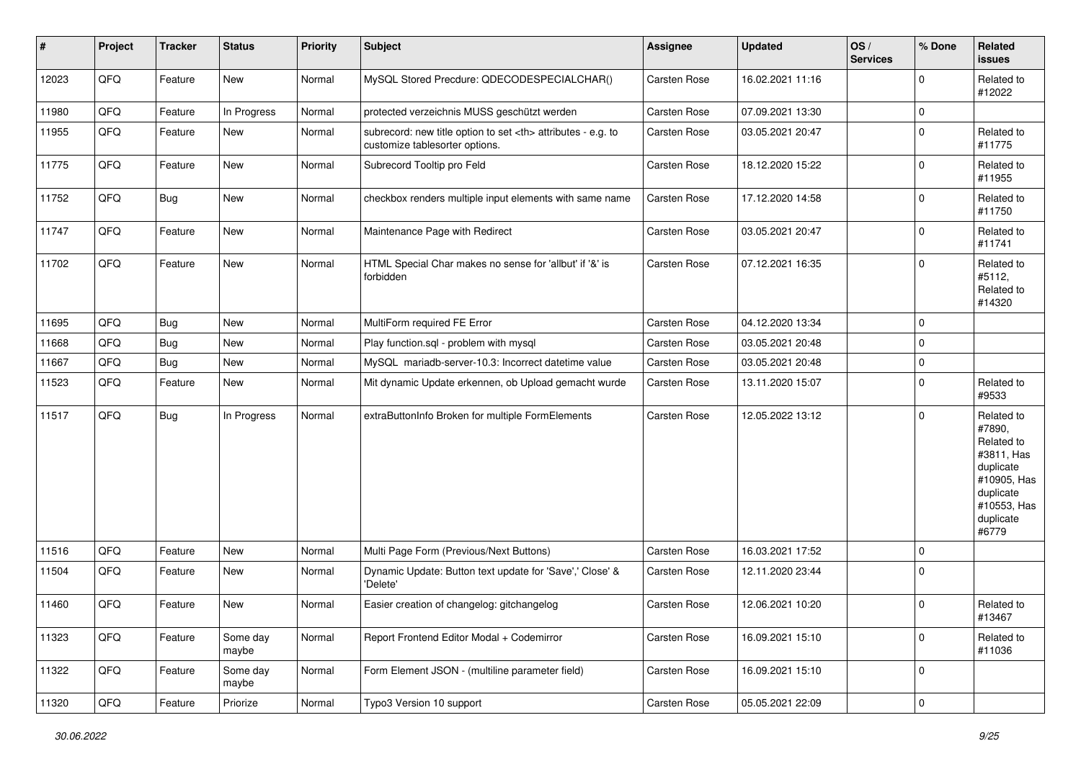| $\vert$ # | Project | <b>Tracker</b> | <b>Status</b>     | <b>Priority</b> | <b>Subject</b>                                                                                       | <b>Assignee</b>                                        | <b>Updated</b>      | OS/<br><b>Services</b> | % Done              | Related<br><b>issues</b>                                                                                                       |                      |
|-----------|---------|----------------|-------------------|-----------------|------------------------------------------------------------------------------------------------------|--------------------------------------------------------|---------------------|------------------------|---------------------|--------------------------------------------------------------------------------------------------------------------------------|----------------------|
| 12023     | QFQ     | Feature        | New               | Normal          | MySQL Stored Precdure: QDECODESPECIALCHAR()                                                          | <b>Carsten Rose</b>                                    | 16.02.2021 11:16    |                        | $\mathbf 0$         | Related to<br>#12022                                                                                                           |                      |
| 11980     | QFQ     | Feature        | In Progress       | Normal          | protected verzeichnis MUSS geschützt werden                                                          | Carsten Rose                                           | 07.09.2021 13:30    |                        | 0                   |                                                                                                                                |                      |
| 11955     | QFQ     | Feature        | New               | Normal          | subrecord: new title option to set <th> attributes - e.g. to<br/>customize tablesorter options.</th> | attributes - e.g. to<br>customize tablesorter options. | <b>Carsten Rose</b> | 03.05.2021 20:47       |                     | $\mathbf 0$                                                                                                                    | Related to<br>#11775 |
| 11775     | QFQ     | Feature        | New               | Normal          | Subrecord Tooltip pro Feld                                                                           | <b>Carsten Rose</b>                                    | 18.12.2020 15:22    |                        | $\mathbf 0$         | Related to<br>#11955                                                                                                           |                      |
| 11752     | QFQ     | Bug            | New               | Normal          | checkbox renders multiple input elements with same name                                              | Carsten Rose                                           | 17.12.2020 14:58    |                        | $\mathbf 0$         | Related to<br>#11750                                                                                                           |                      |
| 11747     | QFQ     | Feature        | New               | Normal          | Maintenance Page with Redirect                                                                       | Carsten Rose                                           | 03.05.2021 20:47    |                        | 0                   | Related to<br>#11741                                                                                                           |                      |
| 11702     | QFQ     | Feature        | New               | Normal          | HTML Special Char makes no sense for 'allbut' if '&' is<br>forbidden                                 | <b>Carsten Rose</b>                                    | 07.12.2021 16:35    |                        | $\mathbf 0$         | Related to<br>#5112,<br>Related to<br>#14320                                                                                   |                      |
| 11695     | QFQ     | Bug            | New               | Normal          | MultiForm required FE Error                                                                          | Carsten Rose                                           | 04.12.2020 13:34    |                        | $\mathbf 0$         |                                                                                                                                |                      |
| 11668     | QFQ     | Bug            | New               | Normal          | Play function.sql - problem with mysql                                                               | Carsten Rose                                           | 03.05.2021 20:48    |                        | 0                   |                                                                                                                                |                      |
| 11667     | QFQ     | Bug            | New               | Normal          | MySQL mariadb-server-10.3: Incorrect datetime value                                                  | <b>Carsten Rose</b>                                    | 03.05.2021 20:48    |                        | 0                   |                                                                                                                                |                      |
| 11523     | QFQ     | Feature        | New               | Normal          | Mit dynamic Update erkennen, ob Upload gemacht wurde                                                 | Carsten Rose                                           | 13.11.2020 15:07    |                        | $\mathbf 0$         | Related to<br>#9533                                                                                                            |                      |
| 11517     | QFQ     | Bug            | In Progress       | Normal          | extraButtonInfo Broken for multiple FormElements                                                     | <b>Carsten Rose</b>                                    | 12.05.2022 13:12    |                        | $\mathbf 0$         | Related to<br>#7890,<br>Related to<br>#3811, Has<br>duplicate<br>#10905, Has<br>duplicate<br>#10553, Has<br>duplicate<br>#6779 |                      |
| 11516     | QFQ     | Feature        | <b>New</b>        | Normal          | Multi Page Form (Previous/Next Buttons)                                                              | Carsten Rose                                           | 16.03.2021 17:52    |                        | $\mathbf 0$         |                                                                                                                                |                      |
| 11504     | QFQ     | Feature        | New               | Normal          | Dynamic Update: Button text update for 'Save',' Close' &<br>'Delete'                                 | <b>Carsten Rose</b>                                    | 12.11.2020 23:44    |                        | $\mathbf 0$         |                                                                                                                                |                      |
| 11460     | QFQ     | Feature        | New               | Normal          | Easier creation of changelog: gitchangelog                                                           | Carsten Rose                                           | 12.06.2021 10:20    |                        | $\mathbf 0$         | Related to<br>#13467                                                                                                           |                      |
| 11323     | QFQ     | Feature        | Some day<br>maybe | Normal          | Report Frontend Editor Modal + Codemirror                                                            | Carsten Rose                                           | 16.09.2021 15:10    |                        | $\mathbf 0$         | Related to<br>#11036                                                                                                           |                      |
| 11322     | QFQ     | Feature        | Some day<br>maybe | Normal          | Form Element JSON - (multiline parameter field)                                                      | <b>Carsten Rose</b>                                    | 16.09.2021 15:10    |                        | $\mathbf 0$         |                                                                                                                                |                      |
| 11320     | QFQ     | Feature        | Priorize          | Normal          | Typo3 Version 10 support                                                                             | Carsten Rose                                           | 05.05.2021 22:09    |                        | $\mathsf{O}\xspace$ |                                                                                                                                |                      |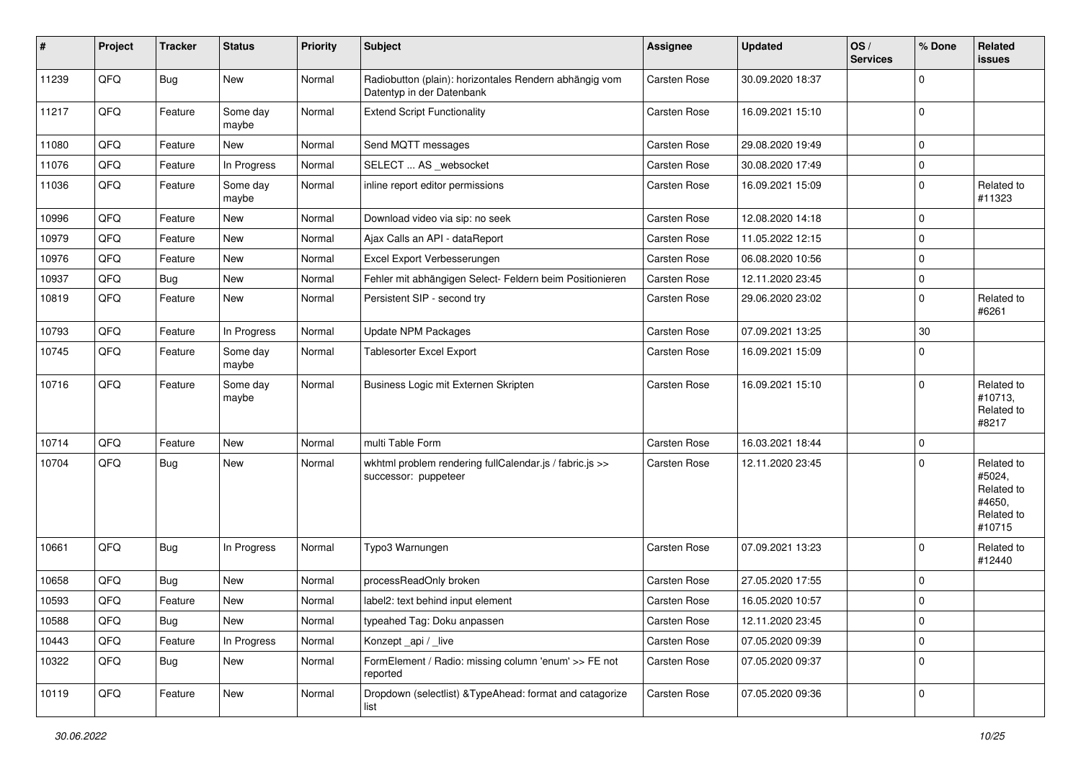| #     | Project | <b>Tracker</b> | <b>Status</b>     | <b>Priority</b> | <b>Subject</b>                                                                      | <b>Assignee</b>     | <b>Updated</b>   | OS/<br><b>Services</b> | % Done      | Related<br>issues                                                    |
|-------|---------|----------------|-------------------|-----------------|-------------------------------------------------------------------------------------|---------------------|------------------|------------------------|-------------|----------------------------------------------------------------------|
| 11239 | QFQ     | <b>Bug</b>     | New               | Normal          | Radiobutton (plain): horizontales Rendern abhängig vom<br>Datentyp in der Datenbank | <b>Carsten Rose</b> | 30.09.2020 18:37 |                        | $\mathbf 0$ |                                                                      |
| 11217 | QFQ     | Feature        | Some day<br>maybe | Normal          | <b>Extend Script Functionality</b>                                                  | Carsten Rose        | 16.09.2021 15:10 |                        | $\mathbf 0$ |                                                                      |
| 11080 | QFQ     | Feature        | New               | Normal          | Send MQTT messages                                                                  | <b>Carsten Rose</b> | 29.08.2020 19:49 |                        | $\pmb{0}$   |                                                                      |
| 11076 | QFQ     | Feature        | In Progress       | Normal          | SELECT  AS _websocket                                                               | Carsten Rose        | 30.08.2020 17:49 |                        | $\mathbf 0$ |                                                                      |
| 11036 | QFQ     | Feature        | Some day<br>maybe | Normal          | inline report editor permissions                                                    | <b>Carsten Rose</b> | 16.09.2021 15:09 |                        | $\mathbf 0$ | Related to<br>#11323                                                 |
| 10996 | QFQ     | Feature        | <b>New</b>        | Normal          | Download video via sip: no seek                                                     | <b>Carsten Rose</b> | 12.08.2020 14:18 |                        | $\mathbf 0$ |                                                                      |
| 10979 | QFQ     | Feature        | New               | Normal          | Ajax Calls an API - dataReport                                                      | Carsten Rose        | 11.05.2022 12:15 |                        | 0           |                                                                      |
| 10976 | QFQ     | Feature        | New               | Normal          | Excel Export Verbesserungen                                                         | <b>Carsten Rose</b> | 06.08.2020 10:56 |                        | $\mathbf 0$ |                                                                      |
| 10937 | QFQ     | <b>Bug</b>     | <b>New</b>        | Normal          | Fehler mit abhängigen Select- Feldern beim Positionieren                            | Carsten Rose        | 12.11.2020 23:45 |                        | $\mathbf 0$ |                                                                      |
| 10819 | QFQ     | Feature        | New               | Normal          | Persistent SIP - second try                                                         | Carsten Rose        | 29.06.2020 23:02 |                        | $\pmb{0}$   | Related to<br>#6261                                                  |
| 10793 | QFQ     | Feature        | In Progress       | Normal          | <b>Update NPM Packages</b>                                                          | <b>Carsten Rose</b> | 07.09.2021 13:25 |                        | 30          |                                                                      |
| 10745 | QFQ     | Feature        | Some day<br>maybe | Normal          | <b>Tablesorter Excel Export</b>                                                     | Carsten Rose        | 16.09.2021 15:09 |                        | $\mathbf 0$ |                                                                      |
| 10716 | QFQ     | Feature        | Some day<br>maybe | Normal          | Business Logic mit Externen Skripten                                                | Carsten Rose        | 16.09.2021 15:10 |                        | $\mathbf 0$ | Related to<br>#10713,<br>Related to<br>#8217                         |
| 10714 | QFQ     | Feature        | New               | Normal          | multi Table Form                                                                    | <b>Carsten Rose</b> | 16.03.2021 18:44 |                        | $\mathbf 0$ |                                                                      |
| 10704 | QFQ     | <b>Bug</b>     | New               | Normal          | wkhtml problem rendering fullCalendar.js / fabric.js >><br>successor: puppeteer     | Carsten Rose        | 12.11.2020 23:45 |                        | $\Omega$    | Related to<br>#5024,<br>Related to<br>#4650,<br>Related to<br>#10715 |
| 10661 | QFQ     | <b>Bug</b>     | In Progress       | Normal          | Typo3 Warnungen                                                                     | Carsten Rose        | 07.09.2021 13:23 |                        | $\mathbf 0$ | Related to<br>#12440                                                 |
| 10658 | QFQ     | <b>Bug</b>     | <b>New</b>        | Normal          | processReadOnly broken                                                              | Carsten Rose        | 27.05.2020 17:55 |                        | $\mathbf 0$ |                                                                      |
| 10593 | QFQ     | Feature        | New               | Normal          | label2: text behind input element                                                   | <b>Carsten Rose</b> | 16.05.2020 10:57 |                        | 0           |                                                                      |
| 10588 | QFQ     | <b>Bug</b>     | New               | Normal          | typeahed Tag: Doku anpassen                                                         | Carsten Rose        | 12.11.2020 23:45 |                        | 0           |                                                                      |
| 10443 | QFQ     | Feature        | In Progress       | Normal          | Konzept_api / _live                                                                 | Carsten Rose        | 07.05.2020 09:39 |                        | 0           |                                                                      |
| 10322 | QFQ     | <b>Bug</b>     | New               | Normal          | FormElement / Radio: missing column 'enum' >> FE not<br>reported                    | Carsten Rose        | 07.05.2020 09:37 |                        | $\mathbf 0$ |                                                                      |
| 10119 | QFQ     | Feature        | New               | Normal          | Dropdown (selectlist) & TypeAhead: format and catagorize<br>list                    | Carsten Rose        | 07.05.2020 09:36 |                        | 0           |                                                                      |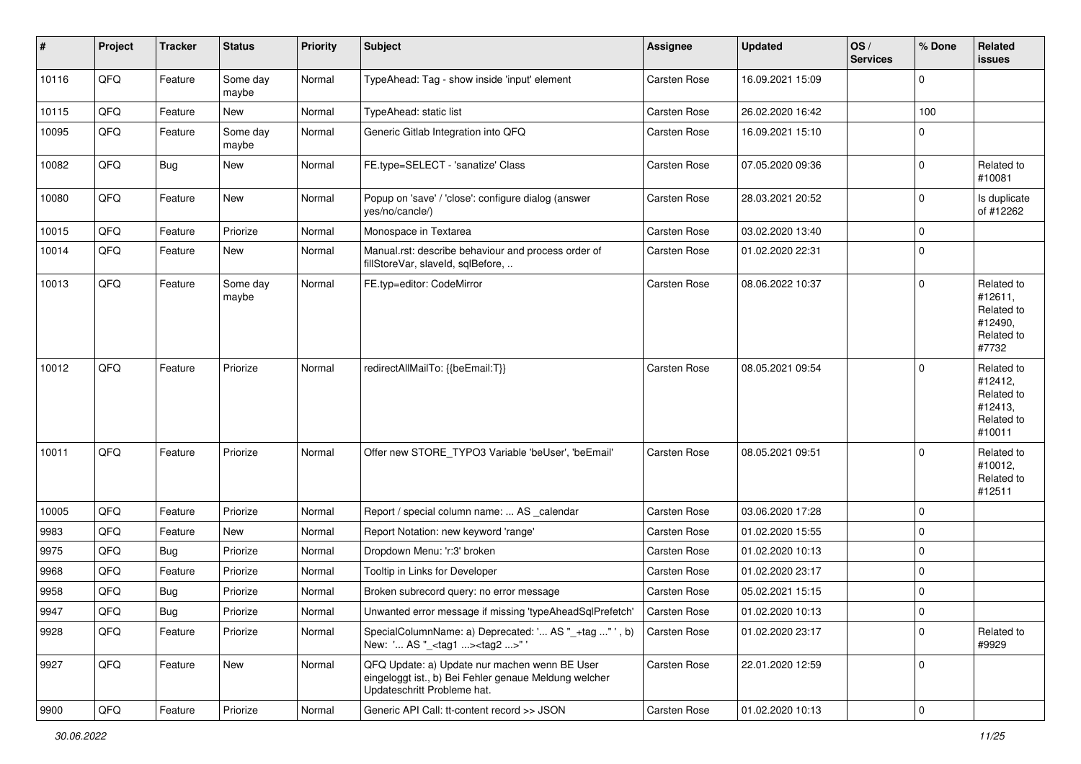| #     | Project | <b>Tracker</b> | <b>Status</b>     | <b>Priority</b> | <b>Subject</b>                                                                                                                        | <b>Assignee</b>     | <b>Updated</b>   | OS/<br><b>Services</b> | % Done      | Related<br><b>issues</b>                                               |
|-------|---------|----------------|-------------------|-----------------|---------------------------------------------------------------------------------------------------------------------------------------|---------------------|------------------|------------------------|-------------|------------------------------------------------------------------------|
| 10116 | QFQ     | Feature        | Some day<br>maybe | Normal          | TypeAhead: Tag - show inside 'input' element                                                                                          | <b>Carsten Rose</b> | 16.09.2021 15:09 |                        | $\Omega$    |                                                                        |
| 10115 | QFQ     | Feature        | New               | Normal          | TypeAhead: static list                                                                                                                | Carsten Rose        | 26.02.2020 16:42 |                        | 100         |                                                                        |
| 10095 | QFQ     | Feature        | Some day<br>maybe | Normal          | Generic Gitlab Integration into QFQ                                                                                                   | Carsten Rose        | 16.09.2021 15:10 |                        | 0           |                                                                        |
| 10082 | QFQ     | Bug            | New               | Normal          | FE.type=SELECT - 'sanatize' Class                                                                                                     | Carsten Rose        | 07.05.2020 09:36 |                        | $\mathbf 0$ | Related to<br>#10081                                                   |
| 10080 | QFQ     | Feature        | New               | Normal          | Popup on 'save' / 'close': configure dialog (answer<br>yes/no/cancle/)                                                                | Carsten Rose        | 28.03.2021 20:52 |                        | $\mathbf 0$ | Is duplicate<br>of #12262                                              |
| 10015 | QFQ     | Feature        | Priorize          | Normal          | Monospace in Textarea                                                                                                                 | Carsten Rose        | 03.02.2020 13:40 |                        | $\mathbf 0$ |                                                                        |
| 10014 | QFQ     | Feature        | New               | Normal          | Manual.rst: describe behaviour and process order of<br>fillStoreVar, slaveld, sqlBefore,                                              | Carsten Rose        | 01.02.2020 22:31 |                        | $\mathbf 0$ |                                                                        |
| 10013 | QFQ     | Feature        | Some day<br>maybe | Normal          | FE.typ=editor: CodeMirror                                                                                                             | Carsten Rose        | 08.06.2022 10:37 |                        | $\mathbf 0$ | Related to<br>#12611,<br>Related to<br>#12490,<br>Related to<br>#7732  |
| 10012 | QFQ     | Feature        | Priorize          | Normal          | redirectAllMailTo: {{beEmail:T}}                                                                                                      | <b>Carsten Rose</b> | 08.05.2021 09:54 |                        | $\Omega$    | Related to<br>#12412,<br>Related to<br>#12413,<br>Related to<br>#10011 |
| 10011 | QFQ     | Feature        | Priorize          | Normal          | Offer new STORE_TYPO3 Variable 'beUser', 'beEmail'                                                                                    | <b>Carsten Rose</b> | 08.05.2021 09:51 |                        | $\Omega$    | Related to<br>#10012,<br>Related to<br>#12511                          |
| 10005 | QFQ     | Feature        | Priorize          | Normal          | Report / special column name:  AS _calendar                                                                                           | <b>Carsten Rose</b> | 03.06.2020 17:28 |                        | $\mathbf 0$ |                                                                        |
| 9983  | QFQ     | Feature        | New               | Normal          | Report Notation: new keyword 'range'                                                                                                  | Carsten Rose        | 01.02.2020 15:55 |                        | $\mathbf 0$ |                                                                        |
| 9975  | QFQ     | <b>Bug</b>     | Priorize          | Normal          | Dropdown Menu: 'r:3' broken                                                                                                           | Carsten Rose        | 01.02.2020 10:13 |                        | $\mathbf 0$ |                                                                        |
| 9968  | QFQ     | Feature        | Priorize          | Normal          | Tooltip in Links for Developer                                                                                                        | <b>Carsten Rose</b> | 01.02.2020 23:17 |                        | 0           |                                                                        |
| 9958  | QFQ     | <b>Bug</b>     | Priorize          | Normal          | Broken subrecord query: no error message                                                                                              | Carsten Rose        | 05.02.2021 15:15 |                        | $\mathbf 0$ |                                                                        |
| 9947  | QFG     | Bug            | Priorize          | Normal          | Unwanted error message if missing 'typeAheadSqlPrefetch'                                                                              | Carsten Rose        | 01.02.2020 10:13 |                        | 0           |                                                                        |
| 9928  | QFQ     | Feature        | Priorize          | Normal          | SpecialColumnName: a) Deprecated: ' AS "_+tag " ', b)<br>New: ' AS "_ <tag1><tag2>"'</tag2></tag1>                                    | Carsten Rose        | 01.02.2020 23:17 |                        | $\mathbf 0$ | Related to<br>#9929                                                    |
| 9927  | QFQ     | Feature        | New               | Normal          | QFQ Update: a) Update nur machen wenn BE User<br>eingeloggt ist., b) Bei Fehler genaue Meldung welcher<br>Updateschritt Probleme hat. | Carsten Rose        | 22.01.2020 12:59 |                        | 0           |                                                                        |
| 9900  | QFG     | Feature        | Priorize          | Normal          | Generic API Call: tt-content record >> JSON                                                                                           | Carsten Rose        | 01.02.2020 10:13 |                        | $\mathbf 0$ |                                                                        |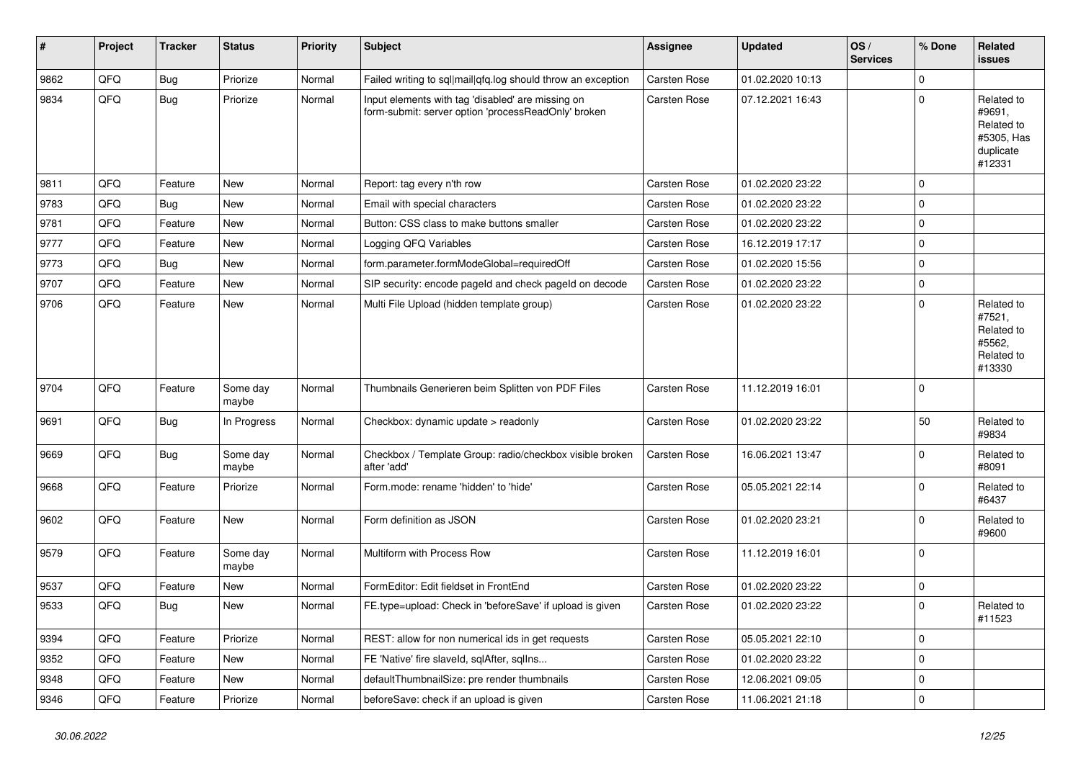| $\sharp$ | Project | <b>Tracker</b> | <b>Status</b>     | <b>Priority</b> | <b>Subject</b>                                                                                           | <b>Assignee</b>     | <b>Updated</b>   | OS/<br><b>Services</b> | % Done      | <b>Related</b><br><b>issues</b>                                         |
|----------|---------|----------------|-------------------|-----------------|----------------------------------------------------------------------------------------------------------|---------------------|------------------|------------------------|-------------|-------------------------------------------------------------------------|
| 9862     | QFQ     | <b>Bug</b>     | Priorize          | Normal          | Failed writing to sql mail qfq.log should throw an exception                                             | <b>Carsten Rose</b> | 01.02.2020 10:13 |                        | $\Omega$    |                                                                         |
| 9834     | QFQ     | Bug            | Priorize          | Normal          | Input elements with tag 'disabled' are missing on<br>form-submit: server option 'processReadOnly' broken | Carsten Rose        | 07.12.2021 16:43 |                        | $\mathbf 0$ | Related to<br>#9691,<br>Related to<br>#5305, Has<br>duplicate<br>#12331 |
| 9811     | QFQ     | Feature        | New               | Normal          | Report: tag every n'th row                                                                               | <b>Carsten Rose</b> | 01.02.2020 23:22 |                        | $\Omega$    |                                                                         |
| 9783     | QFQ     | <b>Bug</b>     | <b>New</b>        | Normal          | Email with special characters                                                                            | Carsten Rose        | 01.02.2020 23:22 |                        | $\mathbf 0$ |                                                                         |
| 9781     | QFQ     | Feature        | New               | Normal          | Button: CSS class to make buttons smaller                                                                | <b>Carsten Rose</b> | 01.02.2020 23:22 |                        | 0           |                                                                         |
| 9777     | QFQ     | Feature        | New               | Normal          | Logging QFQ Variables                                                                                    | <b>Carsten Rose</b> | 16.12.2019 17:17 |                        | $\mathbf 0$ |                                                                         |
| 9773     | QFQ     | <b>Bug</b>     | <b>New</b>        | Normal          | form.parameter.formModeGlobal=requiredOff                                                                | <b>Carsten Rose</b> | 01.02.2020 15:56 |                        | $\mathbf 0$ |                                                                         |
| 9707     | QFQ     | Feature        | New               | Normal          | SIP security: encode pageld and check pageld on decode                                                   | Carsten Rose        | 01.02.2020 23:22 |                        | $\pmb{0}$   |                                                                         |
| 9706     | QFQ     | Feature        | New               | Normal          | Multi File Upload (hidden template group)                                                                | Carsten Rose        | 01.02.2020 23:22 |                        | $\Omega$    | Related to<br>#7521,<br>Related to<br>#5562,<br>Related to<br>#13330    |
| 9704     | QFQ     | Feature        | Some day<br>maybe | Normal          | Thumbnails Generieren beim Splitten von PDF Files                                                        | <b>Carsten Rose</b> | 11.12.2019 16:01 |                        | $\mathbf 0$ |                                                                         |
| 9691     | QFQ     | <b>Bug</b>     | In Progress       | Normal          | Checkbox: dynamic update > readonly                                                                      | Carsten Rose        | 01.02.2020 23:22 |                        | 50          | Related to<br>#9834                                                     |
| 9669     | QFQ     | <b>Bug</b>     | Some day<br>maybe | Normal          | Checkbox / Template Group: radio/checkbox visible broken<br>after 'add'                                  | Carsten Rose        | 16.06.2021 13:47 |                        | $\mathbf 0$ | Related to<br>#8091                                                     |
| 9668     | QFQ     | Feature        | Priorize          | Normal          | Form.mode: rename 'hidden' to 'hide'                                                                     | <b>Carsten Rose</b> | 05.05.2021 22:14 |                        | $\mathbf 0$ | Related to<br>#6437                                                     |
| 9602     | QFQ     | Feature        | New               | Normal          | Form definition as JSON                                                                                  | Carsten Rose        | 01.02.2020 23:21 |                        | $\mathbf 0$ | Related to<br>#9600                                                     |
| 9579     | QFQ     | Feature        | Some day<br>maybe | Normal          | Multiform with Process Row                                                                               | Carsten Rose        | 11.12.2019 16:01 |                        | $\mathbf 0$ |                                                                         |
| 9537     | QFQ     | Feature        | New               | Normal          | FormEditor: Edit fieldset in FrontEnd                                                                    | <b>Carsten Rose</b> | 01.02.2020 23:22 |                        | $\mathbf 0$ |                                                                         |
| 9533     | QFQ     | <b>Bug</b>     | New               | Normal          | FE.type=upload: Check in 'beforeSave' if upload is given                                                 | Carsten Rose        | 01.02.2020 23:22 |                        | $\Omega$    | Related to<br>#11523                                                    |
| 9394     | QFQ     | Feature        | Priorize          | Normal          | REST: allow for non numerical ids in get requests                                                        | Carsten Rose        | 05.05.2021 22:10 |                        | 0           |                                                                         |
| 9352     | QFQ     | Feature        | New               | Normal          | FE 'Native' fire slaveld, sqlAfter, sqlIns                                                               | Carsten Rose        | 01.02.2020 23:22 |                        | l o         |                                                                         |
| 9348     | QFQ     | Feature        | New               | Normal          | defaultThumbnailSize: pre render thumbnails                                                              | Carsten Rose        | 12.06.2021 09:05 |                        | $\mathbf 0$ |                                                                         |
| 9346     | QFQ     | Feature        | Priorize          | Normal          | beforeSave: check if an upload is given                                                                  | Carsten Rose        | 11.06.2021 21:18 |                        | $\pmb{0}$   |                                                                         |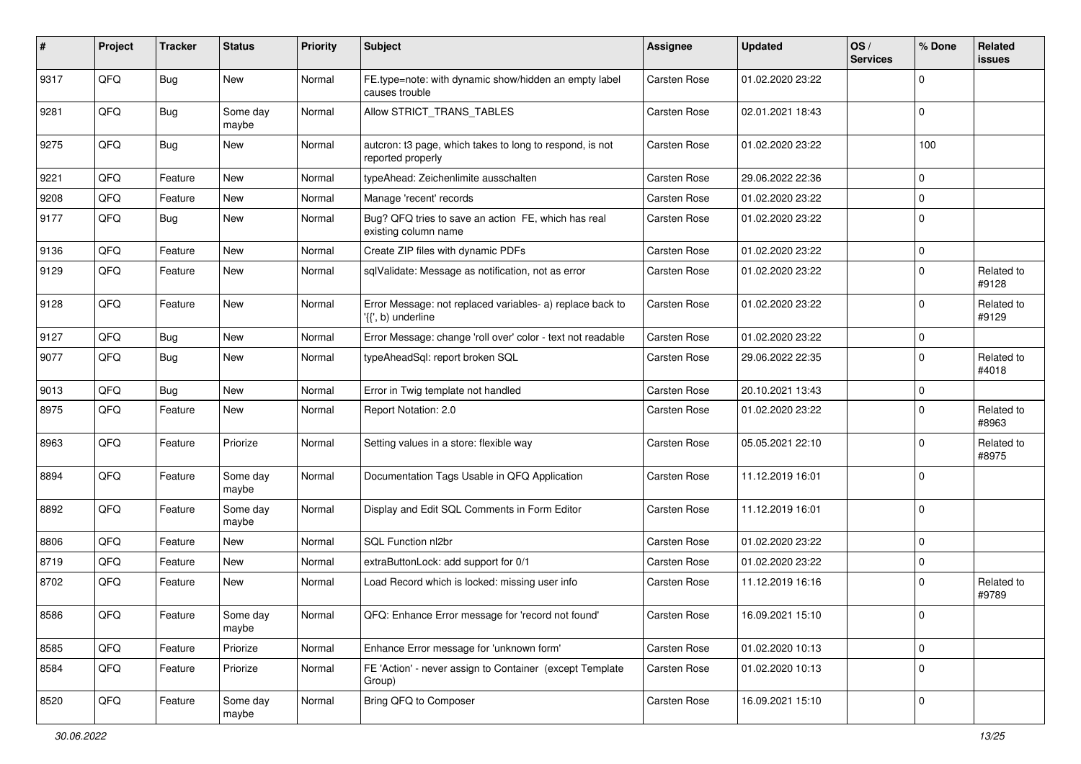| #    | Project | <b>Tracker</b> | <b>Status</b>     | <b>Priority</b> | <b>Subject</b>                                                                  | <b>Assignee</b>     | <b>Updated</b>   | OS/<br><b>Services</b> | % Done    | Related<br><b>issues</b> |
|------|---------|----------------|-------------------|-----------------|---------------------------------------------------------------------------------|---------------------|------------------|------------------------|-----------|--------------------------|
| 9317 | QFQ     | <b>Bug</b>     | <b>New</b>        | Normal          | FE.type=note: with dynamic show/hidden an empty label<br>causes trouble         | <b>Carsten Rose</b> | 01.02.2020 23:22 |                        | $\Omega$  |                          |
| 9281 | QFQ     | Bug            | Some day<br>maybe | Normal          | Allow STRICT TRANS TABLES                                                       | Carsten Rose        | 02.01.2021 18:43 |                        | $\Omega$  |                          |
| 9275 | QFQ     | <b>Bug</b>     | New               | Normal          | autcron: t3 page, which takes to long to respond, is not<br>reported properly   | Carsten Rose        | 01.02.2020 23:22 |                        | 100       |                          |
| 9221 | QFQ     | Feature        | New               | Normal          | typeAhead: Zeichenlimite ausschalten                                            | <b>Carsten Rose</b> | 29.06.2022 22:36 |                        | $\Omega$  |                          |
| 9208 | QFQ     | Feature        | New               | Normal          | Manage 'recent' records                                                         | <b>Carsten Rose</b> | 01.02.2020 23:22 |                        | $\Omega$  |                          |
| 9177 | QFQ     | <b>Bug</b>     | New               | Normal          | Bug? QFQ tries to save an action FE, which has real<br>existing column name     | Carsten Rose        | 01.02.2020 23:22 |                        | $\Omega$  |                          |
| 9136 | QFQ     | Feature        | New               | Normal          | Create ZIP files with dynamic PDFs                                              | Carsten Rose        | 01.02.2020 23:22 |                        | $\Omega$  |                          |
| 9129 | QFQ     | Feature        | New               | Normal          | sqlValidate: Message as notification, not as error                              | Carsten Rose        | 01.02.2020 23:22 |                        | $\Omega$  | Related to<br>#9128      |
| 9128 | QFQ     | Feature        | New               | Normal          | Error Message: not replaced variables- a) replace back to<br>'{{', b) underline | Carsten Rose        | 01.02.2020 23:22 |                        | $\Omega$  | Related to<br>#9129      |
| 9127 | QFQ     | Bug            | New               | Normal          | Error Message: change 'roll over' color - text not readable                     | Carsten Rose        | 01.02.2020 23:22 |                        | $\Omega$  |                          |
| 9077 | QFQ     | Bug            | New               | Normal          | typeAheadSql: report broken SQL                                                 | Carsten Rose        | 29.06.2022 22:35 |                        | $\Omega$  | Related to<br>#4018      |
| 9013 | QFQ     | <b>Bug</b>     | New               | Normal          | Error in Twig template not handled                                              | Carsten Rose        | 20.10.2021 13:43 |                        | $\Omega$  |                          |
| 8975 | QFQ     | Feature        | New               | Normal          | Report Notation: 2.0                                                            | Carsten Rose        | 01.02.2020 23:22 |                        | $\Omega$  | Related to<br>#8963      |
| 8963 | QFQ     | Feature        | Priorize          | Normal          | Setting values in a store: flexible way                                         | Carsten Rose        | 05.05.2021 22:10 |                        | $\Omega$  | Related to<br>#8975      |
| 8894 | QFQ     | Feature        | Some day<br>maybe | Normal          | Documentation Tags Usable in QFQ Application                                    | Carsten Rose        | 11.12.2019 16:01 |                        | $\Omega$  |                          |
| 8892 | QFQ     | Feature        | Some day<br>maybe | Normal          | Display and Edit SQL Comments in Form Editor                                    | Carsten Rose        | 11.12.2019 16:01 |                        | $\Omega$  |                          |
| 8806 | QFQ     | Feature        | New               | Normal          | SQL Function nl2br                                                              | Carsten Rose        | 01.02.2020 23:22 |                        | $\Omega$  |                          |
| 8719 | QFQ     | Feature        | New               | Normal          | extraButtonLock: add support for 0/1                                            | Carsten Rose        | 01.02.2020 23:22 |                        | 0         |                          |
| 8702 | QFQ     | Feature        | New               | Normal          | Load Record which is locked: missing user info                                  | <b>Carsten Rose</b> | 11.12.2019 16:16 |                        | $\Omega$  | Related to<br>#9789      |
| 8586 | QFQ     | Feature        | Some day<br>maybe | Normal          | QFQ: Enhance Error message for 'record not found'                               | Carsten Rose        | 16.09.2021 15:10 |                        | 0         |                          |
| 8585 | QFQ     | Feature        | Priorize          | Normal          | Enhance Error message for 'unknown form'                                        | Carsten Rose        | 01.02.2020 10:13 |                        | $\pmb{0}$ |                          |
| 8584 | QFQ     | Feature        | Priorize          | Normal          | FE 'Action' - never assign to Container (except Template<br>Group)              | Carsten Rose        | 01.02.2020 10:13 |                        | $\Omega$  |                          |
| 8520 | QFQ     | Feature        | Some day<br>maybe | Normal          | Bring QFQ to Composer                                                           | Carsten Rose        | 16.09.2021 15:10 |                        | 0         |                          |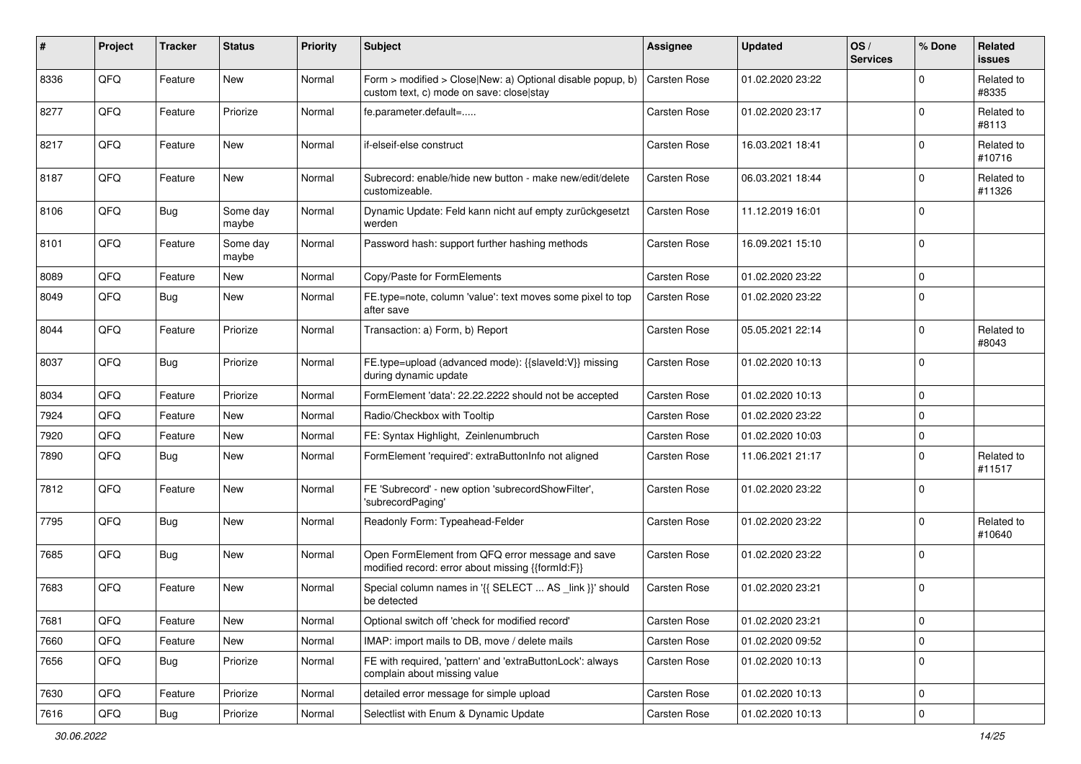| $\vert$ # | Project | <b>Tracker</b> | <b>Status</b>     | <b>Priority</b> | <b>Subject</b>                                                                                         | <b>Assignee</b>     | <b>Updated</b>   | OS/<br><b>Services</b> | % Done      | Related<br><b>issues</b> |
|-----------|---------|----------------|-------------------|-----------------|--------------------------------------------------------------------------------------------------------|---------------------|------------------|------------------------|-------------|--------------------------|
| 8336      | QFQ     | Feature        | New               | Normal          | Form > modified > Close New: a) Optional disable popup, b)<br>custom text, c) mode on save: close stay | <b>Carsten Rose</b> | 01.02.2020 23:22 |                        | $\Omega$    | Related to<br>#8335      |
| 8277      | QFQ     | Feature        | Priorize          | Normal          | fe.parameter.default=                                                                                  | Carsten Rose        | 01.02.2020 23:17 |                        | $\Omega$    | Related to<br>#8113      |
| 8217      | QFQ     | Feature        | New               | Normal          | if-elseif-else construct                                                                               | <b>Carsten Rose</b> | 16.03.2021 18:41 |                        | $\Omega$    | Related to<br>#10716     |
| 8187      | QFQ     | Feature        | New               | Normal          | Subrecord: enable/hide new button - make new/edit/delete<br>customizeable.                             | Carsten Rose        | 06.03.2021 18:44 |                        | $\Omega$    | Related to<br>#11326     |
| 8106      | QFQ     | <b>Bug</b>     | Some day<br>maybe | Normal          | Dynamic Update: Feld kann nicht auf empty zurückgesetzt<br>werden                                      | Carsten Rose        | 11.12.2019 16:01 |                        | $\Omega$    |                          |
| 8101      | QFQ     | Feature        | Some day<br>maybe | Normal          | Password hash: support further hashing methods                                                         | Carsten Rose        | 16.09.2021 15:10 |                        | $\Omega$    |                          |
| 8089      | QFQ     | Feature        | New               | Normal          | Copy/Paste for FormElements                                                                            | Carsten Rose        | 01.02.2020 23:22 |                        | $\Omega$    |                          |
| 8049      | QFQ     | Bug            | New               | Normal          | FE.type=note, column 'value': text moves some pixel to top<br>after save                               | Carsten Rose        | 01.02.2020 23:22 |                        | $\Omega$    |                          |
| 8044      | QFQ     | Feature        | Priorize          | Normal          | Transaction: a) Form, b) Report                                                                        | Carsten Rose        | 05.05.2021 22:14 |                        | $\Omega$    | Related to<br>#8043      |
| 8037      | QFQ     | <b>Bug</b>     | Priorize          | Normal          | FE.type=upload (advanced mode): {{slaveld:V}} missing<br>during dynamic update                         | Carsten Rose        | 01.02.2020 10:13 |                        | $\Omega$    |                          |
| 8034      | QFQ     | Feature        | Priorize          | Normal          | FormElement 'data': 22.22.2222 should not be accepted                                                  | Carsten Rose        | 01.02.2020 10:13 |                        | $\Omega$    |                          |
| 7924      | QFQ     | Feature        | New               | Normal          | Radio/Checkbox with Tooltip                                                                            | Carsten Rose        | 01.02.2020 23:22 |                        | $\Omega$    |                          |
| 7920      | QFQ     | Feature        | New               | Normal          | FE: Syntax Highlight, Zeinlenumbruch                                                                   | Carsten Rose        | 01.02.2020 10:03 |                        | $\Omega$    |                          |
| 7890      | QFQ     | <b>Bug</b>     | New               | Normal          | FormElement 'required': extraButtonInfo not aligned                                                    | Carsten Rose        | 11.06.2021 21:17 |                        | $\Omega$    | Related to<br>#11517     |
| 7812      | QFQ     | Feature        | New               | Normal          | FE 'Subrecord' - new option 'subrecordShowFilter',<br>'subrecordPaging'                                | Carsten Rose        | 01.02.2020 23:22 |                        | $\Omega$    |                          |
| 7795      | QFQ     | <b>Bug</b>     | New               | Normal          | Readonly Form: Typeahead-Felder                                                                        | Carsten Rose        | 01.02.2020 23:22 |                        | $\Omega$    | Related to<br>#10640     |
| 7685      | QFQ     | <b>Bug</b>     | New               | Normal          | Open FormElement from QFQ error message and save<br>modified record: error about missing {{formId:F}}  | Carsten Rose        | 01.02.2020 23:22 |                        | $\Omega$    |                          |
| 7683      | QFQ     | Feature        | New               | Normal          | Special column names in '{{ SELECT  AS _link }}' should<br>be detected                                 | <b>Carsten Rose</b> | 01.02.2020 23:21 |                        | 0           |                          |
| 7681      | QFG     | Feature        | New               | Normal          | Optional switch off 'check for modified record'                                                        | Carsten Rose        | 01.02.2020 23:21 |                        | $\mathbf 0$ |                          |
| 7660      | QFQ     | Feature        | New               | Normal          | IMAP: import mails to DB, move / delete mails                                                          | Carsten Rose        | 01.02.2020 09:52 |                        | $\Omega$    |                          |
| 7656      | QFQ     | Bug            | Priorize          | Normal          | FE with required, 'pattern' and 'extraButtonLock': always<br>complain about missing value              | Carsten Rose        | 01.02.2020 10:13 |                        | $\mathbf 0$ |                          |
| 7630      | QFQ     | Feature        | Priorize          | Normal          | detailed error message for simple upload                                                               | Carsten Rose        | 01.02.2020 10:13 |                        | 0           |                          |
| 7616      | QFQ     | Bug            | Priorize          | Normal          | Selectlist with Enum & Dynamic Update                                                                  | Carsten Rose        | 01.02.2020 10:13 |                        | $\pmb{0}$   |                          |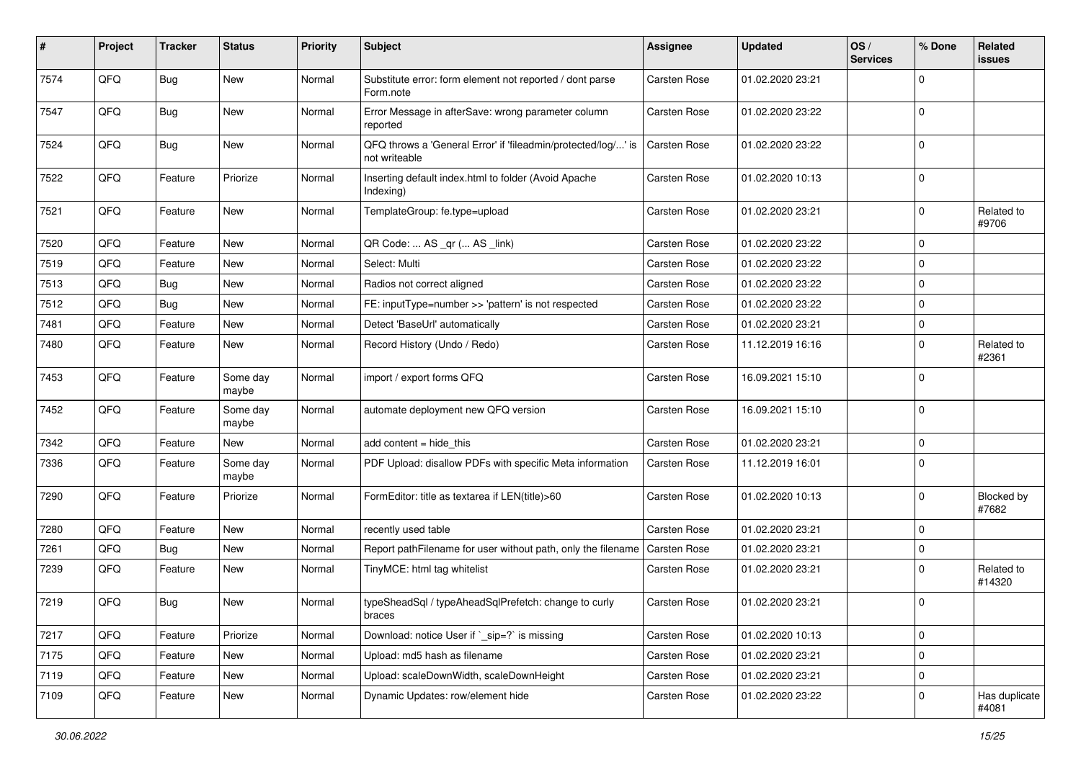| #    | Project | <b>Tracker</b> | <b>Status</b>     | <b>Priority</b> | <b>Subject</b>                                                                 | <b>Assignee</b>     | <b>Updated</b>   | OS/<br><b>Services</b> | % Done      | Related<br>issues          |
|------|---------|----------------|-------------------|-----------------|--------------------------------------------------------------------------------|---------------------|------------------|------------------------|-------------|----------------------------|
| 7574 | QFQ     | <b>Bug</b>     | New               | Normal          | Substitute error: form element not reported / dont parse<br>Form.note          | Carsten Rose        | 01.02.2020 23:21 |                        | $\Omega$    |                            |
| 7547 | QFQ     | <b>Bug</b>     | New               | Normal          | Error Message in afterSave: wrong parameter column<br>reported                 | Carsten Rose        | 01.02.2020 23:22 |                        | $\Omega$    |                            |
| 7524 | QFQ     | <b>Bug</b>     | New               | Normal          | QFQ throws a 'General Error' if 'fileadmin/protected/log/' is<br>not writeable | Carsten Rose        | 01.02.2020 23:22 |                        | $\Omega$    |                            |
| 7522 | QFQ     | Feature        | Priorize          | Normal          | Inserting default index.html to folder (Avoid Apache<br>Indexing)              | Carsten Rose        | 01.02.2020 10:13 |                        | $\Omega$    |                            |
| 7521 | QFQ     | Feature        | New               | Normal          | TemplateGroup: fe.type=upload                                                  | Carsten Rose        | 01.02.2020 23:21 |                        | $\Omega$    | Related to<br>#9706        |
| 7520 | QFQ     | Feature        | New               | Normal          | QR Code:  AS _qr ( AS _link)                                                   | Carsten Rose        | 01.02.2020 23:22 |                        | $\Omega$    |                            |
| 7519 | QFQ     | Feature        | New               | Normal          | Select: Multi                                                                  | Carsten Rose        | 01.02.2020 23:22 |                        | $\Omega$    |                            |
| 7513 | QFQ     | <b>Bug</b>     | New               | Normal          | Radios not correct aligned                                                     | Carsten Rose        | 01.02.2020 23:22 |                        | $\mathbf 0$ |                            |
| 7512 | QFQ     | <b>Bug</b>     | New               | Normal          | FE: inputType=number >> 'pattern' is not respected                             | Carsten Rose        | 01.02.2020 23:22 |                        | $\Omega$    |                            |
| 7481 | QFQ     | Feature        | New               | Normal          | Detect 'BaseUrl' automatically                                                 | <b>Carsten Rose</b> | 01.02.2020 23:21 |                        | 0           |                            |
| 7480 | QFQ     | Feature        | New               | Normal          | Record History (Undo / Redo)                                                   | Carsten Rose        | 11.12.2019 16:16 |                        | $\Omega$    | Related to<br>#2361        |
| 7453 | QFQ     | Feature        | Some day<br>maybe | Normal          | import / export forms QFQ                                                      | Carsten Rose        | 16.09.2021 15:10 |                        | $\mathbf 0$ |                            |
| 7452 | QFQ     | Feature        | Some day<br>maybe | Normal          | automate deployment new QFQ version                                            | Carsten Rose        | 16.09.2021 15:10 |                        | $\Omega$    |                            |
| 7342 | QFQ     | Feature        | New               | Normal          | add content $=$ hide this                                                      | Carsten Rose        | 01.02.2020 23:21 |                        | $\mathbf 0$ |                            |
| 7336 | QFQ     | Feature        | Some day<br>maybe | Normal          | PDF Upload: disallow PDFs with specific Meta information                       | <b>Carsten Rose</b> | 11.12.2019 16:01 |                        | $\Omega$    |                            |
| 7290 | QFQ     | Feature        | Priorize          | Normal          | FormEditor: title as textarea if LEN(title)>60                                 | Carsten Rose        | 01.02.2020 10:13 |                        | $\mathbf 0$ | <b>Blocked by</b><br>#7682 |
| 7280 | QFQ     | Feature        | New               | Normal          | recently used table                                                            | Carsten Rose        | 01.02.2020 23:21 |                        | $\Omega$    |                            |
| 7261 | QFQ     | <b>Bug</b>     | New               | Normal          | Report pathFilename for user without path, only the filename                   | <b>Carsten Rose</b> | 01.02.2020 23:21 |                        | $\Omega$    |                            |
| 7239 | QFQ     | Feature        | New               | Normal          | TinyMCE: html tag whitelist                                                    | Carsten Rose        | 01.02.2020 23:21 |                        | $\Omega$    | Related to<br>#14320       |
| 7219 | QFQ     | <b>Bug</b>     | New               | Normal          | typeSheadSql / typeAheadSqlPrefetch: change to curly<br>braces                 | Carsten Rose        | 01.02.2020 23:21 |                        | $\Omega$    |                            |
| 7217 | QFQ     | Feature        | Priorize          | Normal          | Download: notice User if `_sip=?` is missing                                   | Carsten Rose        | 01.02.2020 10:13 |                        | 0           |                            |
| 7175 | QFQ     | Feature        | New               | Normal          | Upload: md5 hash as filename                                                   | Carsten Rose        | 01.02.2020 23:21 |                        | $\pmb{0}$   |                            |
| 7119 | QFQ     | Feature        | New               | Normal          | Upload: scaleDownWidth, scaleDownHeight                                        | Carsten Rose        | 01.02.2020 23:21 |                        | 0           |                            |
| 7109 | QFQ     | Feature        | New               | Normal          | Dynamic Updates: row/element hide                                              | Carsten Rose        | 01.02.2020 23:22 |                        | $\mathbf 0$ | Has duplicate<br>#4081     |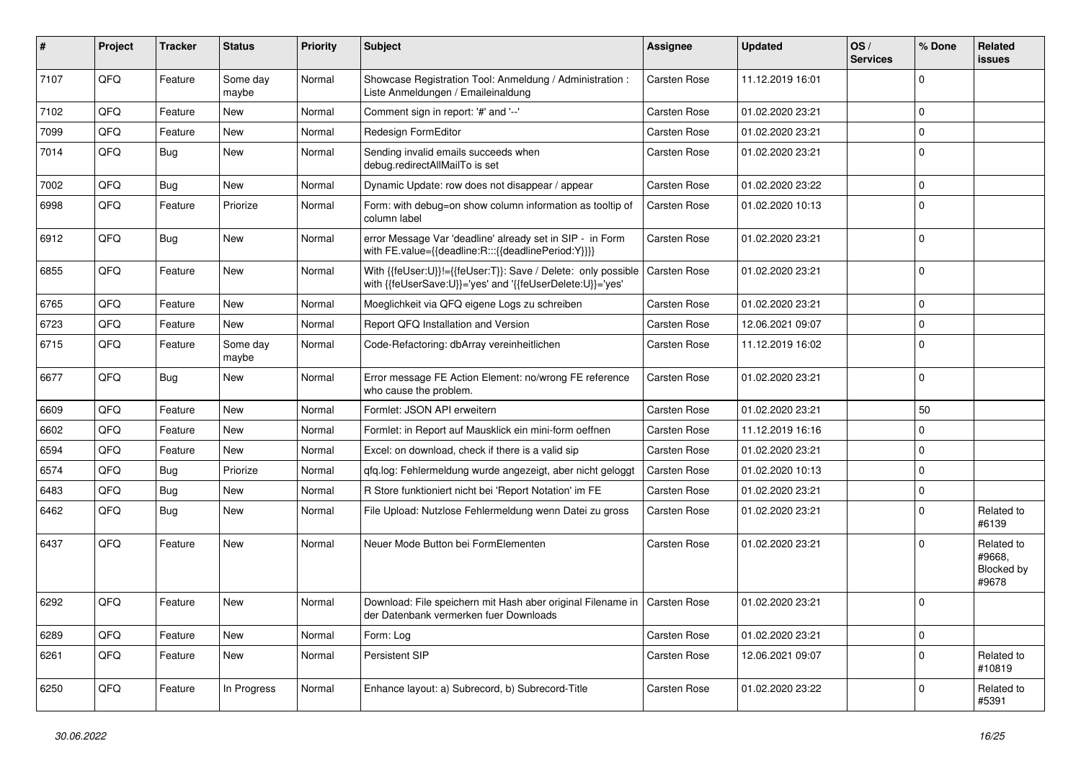| #    | Project | <b>Tracker</b> | <b>Status</b>     | <b>Priority</b> | <b>Subject</b>                                                                                                             | <b>Assignee</b>     | <b>Updated</b>   | OS/<br><b>Services</b> | % Done      | Related<br>issues                           |
|------|---------|----------------|-------------------|-----------------|----------------------------------------------------------------------------------------------------------------------------|---------------------|------------------|------------------------|-------------|---------------------------------------------|
| 7107 | QFQ     | Feature        | Some day<br>maybe | Normal          | Showcase Registration Tool: Anmeldung / Administration :<br>Liste Anmeldungen / Emaileinaldung                             | <b>Carsten Rose</b> | 11.12.2019 16:01 |                        | $\Omega$    |                                             |
| 7102 | QFQ     | Feature        | <b>New</b>        | Normal          | Comment sign in report: '#' and '--'                                                                                       | Carsten Rose        | 01.02.2020 23:21 |                        | $\Omega$    |                                             |
| 7099 | QFQ     | Feature        | <b>New</b>        | Normal          | Redesign FormEditor                                                                                                        | Carsten Rose        | 01.02.2020 23:21 |                        | $\Omega$    |                                             |
| 7014 | QFQ     | <b>Bug</b>     | <b>New</b>        | Normal          | Sending invalid emails succeeds when<br>debug.redirectAllMailTo is set                                                     | Carsten Rose        | 01.02.2020 23:21 |                        | $\Omega$    |                                             |
| 7002 | QFQ     | <b>Bug</b>     | <b>New</b>        | Normal          | Dynamic Update: row does not disappear / appear                                                                            | <b>Carsten Rose</b> | 01.02.2020 23:22 |                        | $\Omega$    |                                             |
| 6998 | QFQ     | Feature        | Priorize          | Normal          | Form: with debug=on show column information as tooltip of<br>column label                                                  | Carsten Rose        | 01.02.2020 10:13 |                        | $\Omega$    |                                             |
| 6912 | QFQ     | <b>Bug</b>     | <b>New</b>        | Normal          | error Message Var 'deadline' already set in SIP - in Form<br>with FE.value={{deadline:R:::{{deadlinePeriod:Y}}}}           | Carsten Rose        | 01.02.2020 23:21 |                        | $\Omega$    |                                             |
| 6855 | QFQ     | Feature        | New               | Normal          | With {{feUser:U}}!={{feUser:T}}: Save / Delete: only possible<br>with {{feUserSave:U}}='yes' and '{{feUserDelete:U}}='yes' | Carsten Rose        | 01.02.2020 23:21 |                        | $\Omega$    |                                             |
| 6765 | QFQ     | Feature        | <b>New</b>        | Normal          | Moeglichkeit via QFQ eigene Logs zu schreiben                                                                              | Carsten Rose        | 01.02.2020 23:21 |                        | $\Omega$    |                                             |
| 6723 | QFQ     | Feature        | <b>New</b>        | Normal          | Report QFQ Installation and Version                                                                                        | Carsten Rose        | 12.06.2021 09:07 |                        | $\Omega$    |                                             |
| 6715 | QFQ     | Feature        | Some day<br>maybe | Normal          | Code-Refactoring: dbArray vereinheitlichen                                                                                 | Carsten Rose        | 11.12.2019 16:02 |                        | $\Omega$    |                                             |
| 6677 | QFQ     | Bug            | <b>New</b>        | Normal          | Error message FE Action Element: no/wrong FE reference<br>who cause the problem.                                           | Carsten Rose        | 01.02.2020 23:21 |                        | $\Omega$    |                                             |
| 6609 | QFQ     | Feature        | <b>New</b>        | Normal          | Formlet: JSON API erweitern                                                                                                | Carsten Rose        | 01.02.2020 23:21 |                        | 50          |                                             |
| 6602 | QFQ     | Feature        | <b>New</b>        | Normal          | Formlet: in Report auf Mausklick ein mini-form oeffnen                                                                     | Carsten Rose        | 11.12.2019 16:16 |                        | $\mathbf 0$ |                                             |
| 6594 | QFQ     | Feature        | New               | Normal          | Excel: on download, check if there is a valid sip                                                                          | Carsten Rose        | 01.02.2020 23:21 |                        | $\Omega$    |                                             |
| 6574 | QFQ     | Bug            | Priorize          | Normal          | gfg.log: Fehlermeldung wurde angezeigt, aber nicht geloggt                                                                 | Carsten Rose        | 01.02.2020 10:13 |                        | $\Omega$    |                                             |
| 6483 | QFQ     | <b>Bug</b>     | <b>New</b>        | Normal          | R Store funktioniert nicht bei 'Report Notation' im FE                                                                     | Carsten Rose        | 01.02.2020 23:21 |                        | $\Omega$    |                                             |
| 6462 | QFQ     | Bug            | New               | Normal          | File Upload: Nutzlose Fehlermeldung wenn Datei zu gross                                                                    | Carsten Rose        | 01.02.2020 23:21 |                        | $\Omega$    | Related to<br>#6139                         |
| 6437 | QFQ     | Feature        | <b>New</b>        | Normal          | Neuer Mode Button bei FormElementen                                                                                        | <b>Carsten Rose</b> | 01.02.2020 23:21 |                        | $\Omega$    | Related to<br>#9668,<br>Blocked by<br>#9678 |
| 6292 | QFQ     | Feature        | <b>New</b>        | Normal          | Download: File speichern mit Hash aber original Filename in   Carsten Rose<br>der Datenbank vermerken fuer Downloads       |                     | 01.02.2020 23:21 |                        | $\Omega$    |                                             |
| 6289 | QFQ     | Feature        | <b>New</b>        | Normal          | Form: Log                                                                                                                  | Carsten Rose        | 01.02.2020 23:21 |                        | $\Omega$    |                                             |
| 6261 | QFQ     | Feature        | <b>New</b>        | Normal          | <b>Persistent SIP</b>                                                                                                      | Carsten Rose        | 12.06.2021 09:07 |                        | $\Omega$    | Related to<br>#10819                        |
| 6250 | QFQ     | Feature        | In Progress       | Normal          | Enhance layout: a) Subrecord, b) Subrecord-Title                                                                           | Carsten Rose        | 01.02.2020 23:22 |                        | $\Omega$    | Related to<br>#5391                         |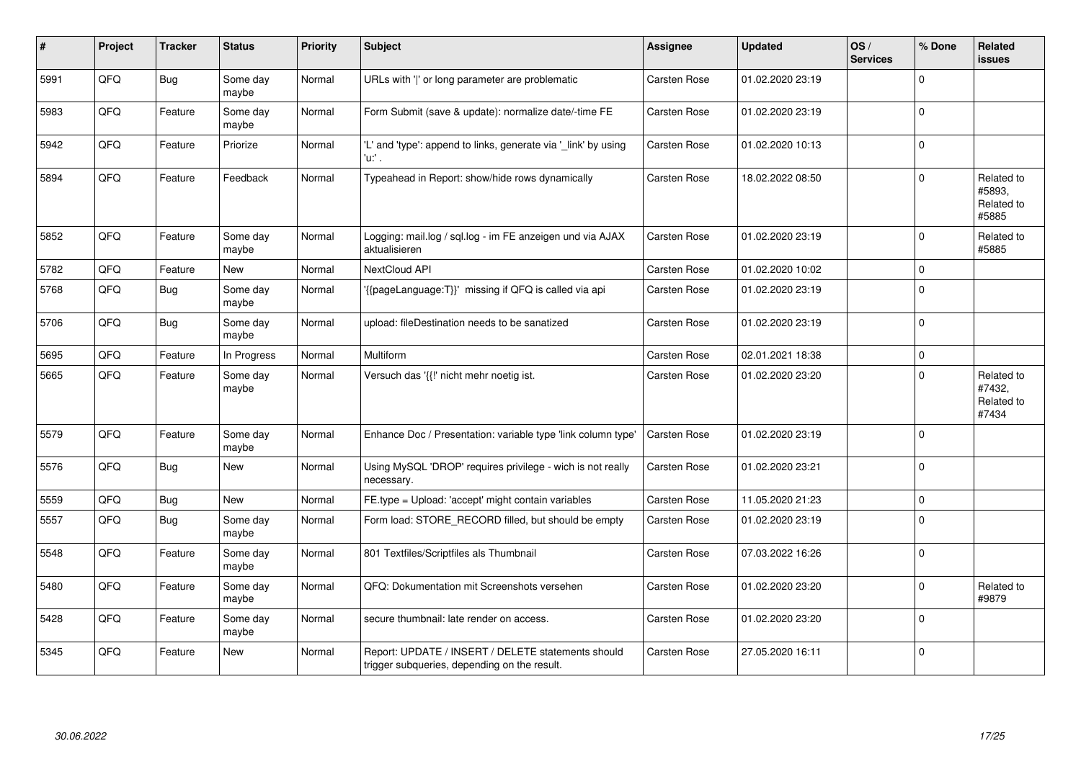| #    | Project | <b>Tracker</b> | <b>Status</b>     | <b>Priority</b> | <b>Subject</b>                                                                                     | <b>Assignee</b>     | <b>Updated</b>   | OS/<br><b>Services</b> | % Done       | Related<br>issues                           |
|------|---------|----------------|-------------------|-----------------|----------------------------------------------------------------------------------------------------|---------------------|------------------|------------------------|--------------|---------------------------------------------|
| 5991 | QFQ     | Bug            | Some day<br>maybe | Normal          | URLs with 'I' or long parameter are problematic                                                    | Carsten Rose        | 01.02.2020 23:19 |                        | $\Omega$     |                                             |
| 5983 | QFQ     | Feature        | Some day<br>maybe | Normal          | Form Submit (save & update): normalize date/-time FE                                               | Carsten Rose        | 01.02.2020 23:19 |                        | $\mathbf{0}$ |                                             |
| 5942 | QFQ     | Feature        | Priorize          | Normal          | 'L' and 'type': append to links, generate via '_link' by using<br>'u:' .                           | Carsten Rose        | 01.02.2020 10:13 |                        | $\mathbf 0$  |                                             |
| 5894 | QFQ     | Feature        | Feedback          | Normal          | Typeahead in Report: show/hide rows dynamically                                                    | <b>Carsten Rose</b> | 18.02.2022 08:50 |                        | 0            | Related to<br>#5893,<br>Related to<br>#5885 |
| 5852 | QFQ     | Feature        | Some day<br>maybe | Normal          | Logging: mail.log / sql.log - im FE anzeigen und via AJAX<br>aktualisieren                         | Carsten Rose        | 01.02.2020 23:19 |                        | $\mathbf 0$  | Related to<br>#5885                         |
| 5782 | QFQ     | Feature        | New               | Normal          | NextCloud API                                                                                      | Carsten Rose        | 01.02.2020 10:02 |                        | 0            |                                             |
| 5768 | QFQ     | <b>Bug</b>     | Some day<br>maybe | Normal          | '{{pageLanguage:T}}' missing if QFQ is called via api                                              | <b>Carsten Rose</b> | 01.02.2020 23:19 |                        | $\Omega$     |                                             |
| 5706 | QFQ     | <b>Bug</b>     | Some day<br>maybe | Normal          | upload: fileDestination needs to be sanatized                                                      | Carsten Rose        | 01.02.2020 23:19 |                        | $\mathbf 0$  |                                             |
| 5695 | QFQ     | Feature        | In Progress       | Normal          | <b>Multiform</b>                                                                                   | <b>Carsten Rose</b> | 02.01.2021 18:38 |                        | 0            |                                             |
| 5665 | QFQ     | Feature        | Some day<br>maybe | Normal          | Versuch das '{{!' nicht mehr noetig ist.                                                           | <b>Carsten Rose</b> | 01.02.2020 23:20 |                        | $\Omega$     | Related to<br>#7432,<br>Related to<br>#7434 |
| 5579 | QFQ     | Feature        | Some day<br>maybe | Normal          | Enhance Doc / Presentation: variable type 'link column type'                                       | <b>Carsten Rose</b> | 01.02.2020 23:19 |                        | 0            |                                             |
| 5576 | QFQ     | <b>Bug</b>     | New               | Normal          | Using MySQL 'DROP' requires privilege - wich is not really<br>necessary.                           | Carsten Rose        | 01.02.2020 23:21 |                        | $\mathbf 0$  |                                             |
| 5559 | QFQ     | <b>Bug</b>     | New               | Normal          | FE.type = Upload: 'accept' might contain variables                                                 | Carsten Rose        | 11.05.2020 21:23 |                        | $\Omega$     |                                             |
| 5557 | QFQ     | Bug            | Some day<br>maybe | Normal          | Form load: STORE_RECORD filled, but should be empty                                                | Carsten Rose        | 01.02.2020 23:19 |                        | 0            |                                             |
| 5548 | QFQ     | Feature        | Some day<br>maybe | Normal          | 801 Textfiles/Scriptfiles als Thumbnail                                                            | Carsten Rose        | 07.03.2022 16:26 |                        | 0            |                                             |
| 5480 | QFQ     | Feature        | Some day<br>maybe | Normal          | QFQ: Dokumentation mit Screenshots versehen                                                        | Carsten Rose        | 01.02.2020 23:20 |                        | 0            | Related to<br>#9879                         |
| 5428 | QFQ     | Feature        | Some day<br>maybe | Normal          | secure thumbnail: late render on access.                                                           | Carsten Rose        | 01.02.2020 23:20 |                        | $\Omega$     |                                             |
| 5345 | QFQ     | Feature        | New               | Normal          | Report: UPDATE / INSERT / DELETE statements should<br>trigger subqueries, depending on the result. | Carsten Rose        | 27.05.2020 16:11 |                        | 0            |                                             |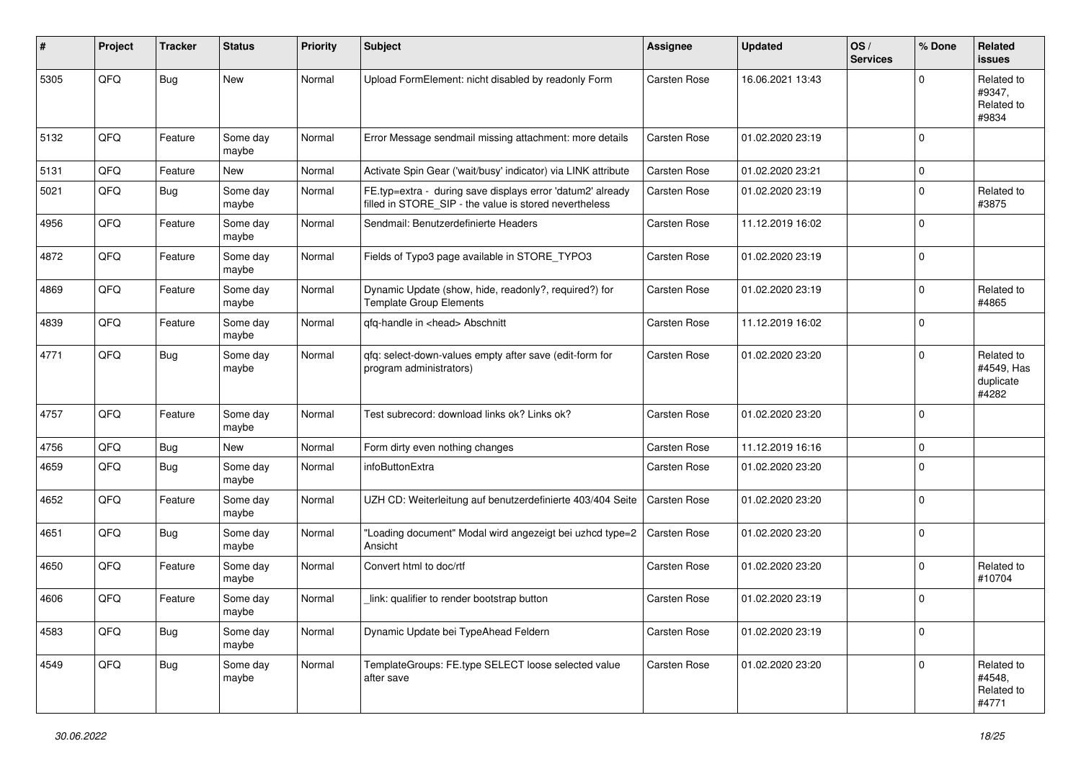| #    | Project | <b>Tracker</b> | <b>Status</b>     | <b>Priority</b> | <b>Subject</b>                                                                                                       | <b>Assignee</b>     | <b>Updated</b>   | OS/<br><b>Services</b> | % Done      | Related<br><b>issues</b>                       |
|------|---------|----------------|-------------------|-----------------|----------------------------------------------------------------------------------------------------------------------|---------------------|------------------|------------------------|-------------|------------------------------------------------|
| 5305 | QFQ     | Bug            | <b>New</b>        | Normal          | Upload FormElement: nicht disabled by readonly Form                                                                  | <b>Carsten Rose</b> | 16.06.2021 13:43 |                        | $\mathbf 0$ | Related to<br>#9347,<br>Related to<br>#9834    |
| 5132 | QFQ     | Feature        | Some day<br>maybe | Normal          | Error Message sendmail missing attachment: more details                                                              | <b>Carsten Rose</b> | 01.02.2020 23:19 |                        | 0           |                                                |
| 5131 | QFQ     | Feature        | <b>New</b>        | Normal          | Activate Spin Gear ('wait/busy' indicator) via LINK attribute                                                        | <b>Carsten Rose</b> | 01.02.2020 23:21 |                        | 0           |                                                |
| 5021 | QFQ     | <b>Bug</b>     | Some day<br>maybe | Normal          | FE.typ=extra - during save displays error 'datum2' already<br>filled in STORE_SIP - the value is stored nevertheless | <b>Carsten Rose</b> | 01.02.2020 23:19 |                        | 0           | Related to<br>#3875                            |
| 4956 | QFQ     | Feature        | Some day<br>maybe | Normal          | Sendmail: Benutzerdefinierte Headers                                                                                 | <b>Carsten Rose</b> | 11.12.2019 16:02 |                        | $\mathbf 0$ |                                                |
| 4872 | QFQ     | Feature        | Some day<br>maybe | Normal          | Fields of Typo3 page available in STORE_TYPO3                                                                        | <b>Carsten Rose</b> | 01.02.2020 23:19 |                        | 0           |                                                |
| 4869 | QFQ     | Feature        | Some day<br>maybe | Normal          | Dynamic Update (show, hide, readonly?, required?) for<br><b>Template Group Elements</b>                              | <b>Carsten Rose</b> | 01.02.2020 23:19 |                        | 0           | Related to<br>#4865                            |
| 4839 | QFQ     | Feature        | Some day<br>maybe | Normal          | qfq-handle in <head> Abschnitt</head>                                                                                | Carsten Rose        | 11.12.2019 16:02 |                        | 0           |                                                |
| 4771 | QFQ     | <b>Bug</b>     | Some day<br>maybe | Normal          | qfq: select-down-values empty after save (edit-form for<br>program administrators)                                   | <b>Carsten Rose</b> | 01.02.2020 23:20 |                        | $\Omega$    | Related to<br>#4549, Has<br>duplicate<br>#4282 |
| 4757 | QFQ     | Feature        | Some day<br>maybe | Normal          | Test subrecord: download links ok? Links ok?                                                                         | <b>Carsten Rose</b> | 01.02.2020 23:20 |                        | 0           |                                                |
| 4756 | QFQ     | <b>Bug</b>     | New               | Normal          | Form dirty even nothing changes                                                                                      | <b>Carsten Rose</b> | 11.12.2019 16:16 |                        | 0           |                                                |
| 4659 | QFQ     | <b>Bug</b>     | Some day<br>maybe | Normal          | infoButtonExtra                                                                                                      | Carsten Rose        | 01.02.2020 23:20 |                        | $\Omega$    |                                                |
| 4652 | QFQ     | Feature        | Some day<br>maybe | Normal          | UZH CD: Weiterleitung auf benutzerdefinierte 403/404 Seite                                                           | Carsten Rose        | 01.02.2020 23:20 |                        | $\mathbf 0$ |                                                |
| 4651 | QFQ     | Bug            | Some day<br>maybe | Normal          | "Loading document" Modal wird angezeigt bei uzhcd type=2<br>Ansicht                                                  | <b>Carsten Rose</b> | 01.02.2020 23:20 |                        | 0           |                                                |
| 4650 | QFQ     | Feature        | Some day<br>maybe | Normal          | Convert html to doc/rtf                                                                                              | <b>Carsten Rose</b> | 01.02.2020 23:20 |                        | 0           | Related to<br>#10704                           |
| 4606 | QFQ     | Feature        | Some day<br>maybe | Normal          | link: qualifier to render bootstrap button                                                                           | <b>Carsten Rose</b> | 01.02.2020 23:19 |                        | $\mathbf 0$ |                                                |
| 4583 | QFQ     | <b>Bug</b>     | Some day<br>maybe | Normal          | Dynamic Update bei TypeAhead Feldern                                                                                 | Carsten Rose        | 01.02.2020 23:19 |                        | 0           |                                                |
| 4549 | QFQ     | <b>Bug</b>     | Some day<br>maybe | Normal          | TemplateGroups: FE.type SELECT loose selected value<br>after save                                                    | Carsten Rose        | 01.02.2020 23:20 |                        | 0           | Related to<br>#4548,<br>Related to<br>#4771    |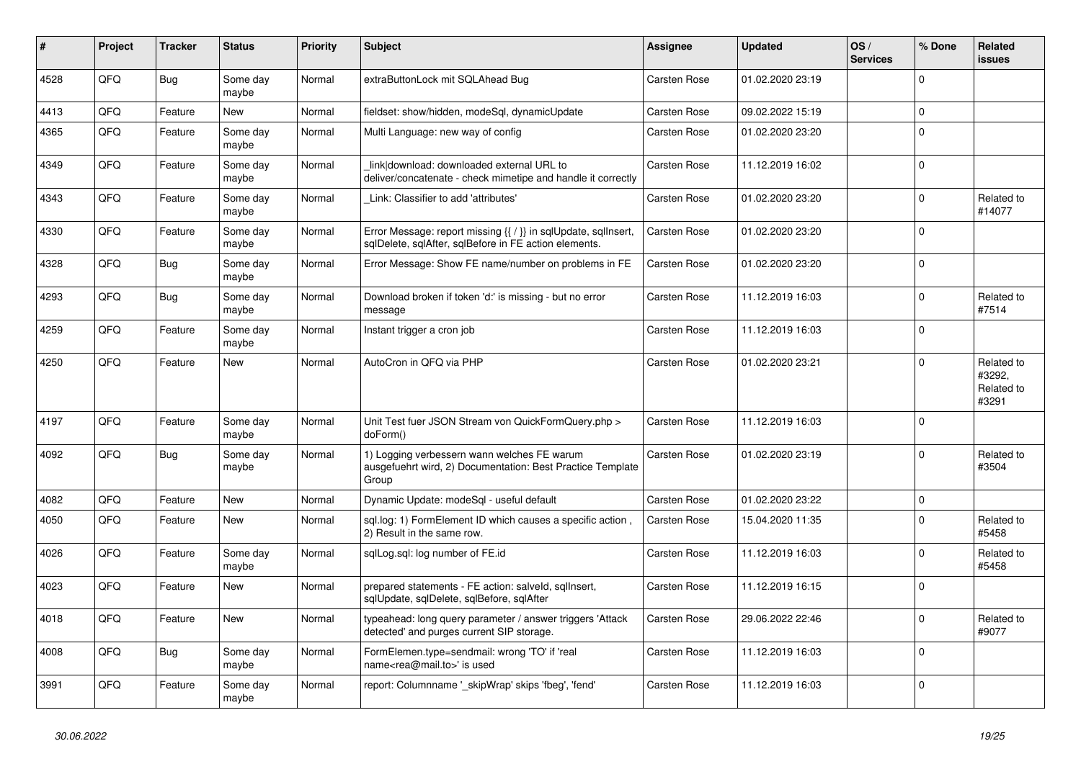| #    | Project    | <b>Tracker</b> | <b>Status</b>     | <b>Priority</b> | <b>Subject</b>                                                                                                          | <b>Assignee</b> | <b>Updated</b>   | OS/<br><b>Services</b> | % Done      | Related<br><b>issues</b>                    |
|------|------------|----------------|-------------------|-----------------|-------------------------------------------------------------------------------------------------------------------------|-----------------|------------------|------------------------|-------------|---------------------------------------------|
| 4528 | QFQ        | Bug            | Some day<br>maybe | Normal          | extraButtonLock mit SQLAhead Bug                                                                                        | Carsten Rose    | 01.02.2020 23:19 |                        | $\Omega$    |                                             |
| 4413 | QFQ        | Feature        | <b>New</b>        | Normal          | fieldset: show/hidden, modeSql, dynamicUpdate                                                                           | Carsten Rose    | 09.02.2022 15:19 |                        | $\mathbf 0$ |                                             |
| 4365 | QFQ        | Feature        | Some day<br>maybe | Normal          | Multi Language: new way of config                                                                                       | Carsten Rose    | 01.02.2020 23:20 |                        | $\Omega$    |                                             |
| 4349 | QFQ        | Feature        | Some day<br>maybe | Normal          | link download: downloaded external URL to<br>deliver/concatenate - check mimetipe and handle it correctly               | Carsten Rose    | 11.12.2019 16:02 |                        | $\Omega$    |                                             |
| 4343 | QFQ        | Feature        | Some day<br>maybe | Normal          | Link: Classifier to add 'attributes'                                                                                    | Carsten Rose    | 01.02.2020 23:20 |                        | $\Omega$    | Related to<br>#14077                        |
| 4330 | QFQ        | Feature        | Some day<br>maybe | Normal          | Error Message: report missing {{ / }} in sqlUpdate, sqlInsert,<br>sqlDelete, sqlAfter, sqlBefore in FE action elements. | Carsten Rose    | 01.02.2020 23:20 |                        | $\Omega$    |                                             |
| 4328 | QFQ        | Bug            | Some day<br>maybe | Normal          | Error Message: Show FE name/number on problems in FE                                                                    | Carsten Rose    | 01.02.2020 23:20 |                        | $\mathbf 0$ |                                             |
| 4293 | QFQ        | Bug            | Some day<br>maybe | Normal          | Download broken if token 'd:' is missing - but no error<br>message                                                      | Carsten Rose    | 11.12.2019 16:03 |                        | $\Omega$    | Related to<br>#7514                         |
| 4259 | QFQ        | Feature        | Some day<br>maybe | Normal          | Instant trigger a cron job                                                                                              | Carsten Rose    | 11.12.2019 16:03 |                        | $\mathbf 0$ |                                             |
| 4250 | QFQ        | Feature        | <b>New</b>        | Normal          | AutoCron in QFQ via PHP                                                                                                 | Carsten Rose    | 01.02.2020 23:21 |                        | $\Omega$    | Related to<br>#3292,<br>Related to<br>#3291 |
| 4197 | QFQ        | Feature        | Some day<br>maybe | Normal          | Unit Test fuer JSON Stream von QuickFormQuery.php ><br>doForm()                                                         | Carsten Rose    | 11.12.2019 16:03 |                        | $\Omega$    |                                             |
| 4092 | QFQ        | Bug            | Some day<br>maybe | Normal          | 1) Logging verbessern wann welches FE warum<br>ausgefuehrt wird, 2) Documentation: Best Practice Template<br>Group      | Carsten Rose    | 01.02.2020 23:19 |                        | $\Omega$    | Related to<br>#3504                         |
| 4082 | QFQ        | Feature        | <b>New</b>        | Normal          | Dynamic Update: modeSql - useful default                                                                                | Carsten Rose    | 01.02.2020 23:22 |                        | $\mathbf 0$ |                                             |
| 4050 | QFQ        | Feature        | <b>New</b>        | Normal          | sql.log: 1) FormElement ID which causes a specific action,<br>2) Result in the same row.                                | Carsten Rose    | 15.04.2020 11:35 |                        | $\Omega$    | Related to<br>#5458                         |
| 4026 | QFQ        | Feature        | Some day<br>maybe | Normal          | sqlLog.sql: log number of FE.id                                                                                         | Carsten Rose    | 11.12.2019 16:03 |                        | $\Omega$    | Related to<br>#5458                         |
| 4023 | QFQ        | Feature        | <b>New</b>        | Normal          | prepared statements - FE action: salveld, sqllnsert,<br>sqlUpdate, sqlDelete, sqlBefore, sqlAfter                       | Carsten Rose    | 11.12.2019 16:15 |                        | $\mathbf 0$ |                                             |
| 4018 | <b>OFO</b> | Feature        | <b>New</b>        | Normal          | typeahead: long query parameter / answer triggers 'Attack<br>detected' and purges current SIP storage.                  | Carsten Rose    | 29.06.2022 22:46 |                        | $\Omega$    | Related to<br>#9077                         |
| 4008 | QFQ        | Bug            | Some day<br>maybe | Normal          | FormElemen.type=sendmail: wrong 'TO' if 'real<br>name <rea@mail.to>' is used</rea@mail.to>                              | Carsten Rose    | 11.12.2019 16:03 |                        | $\Omega$    |                                             |
| 3991 | QFQ        | Feature        | Some day<br>maybe | Normal          | report: Columnname '_skipWrap' skips 'fbeg', 'fend'                                                                     | Carsten Rose    | 11.12.2019 16:03 |                        | $\Omega$    |                                             |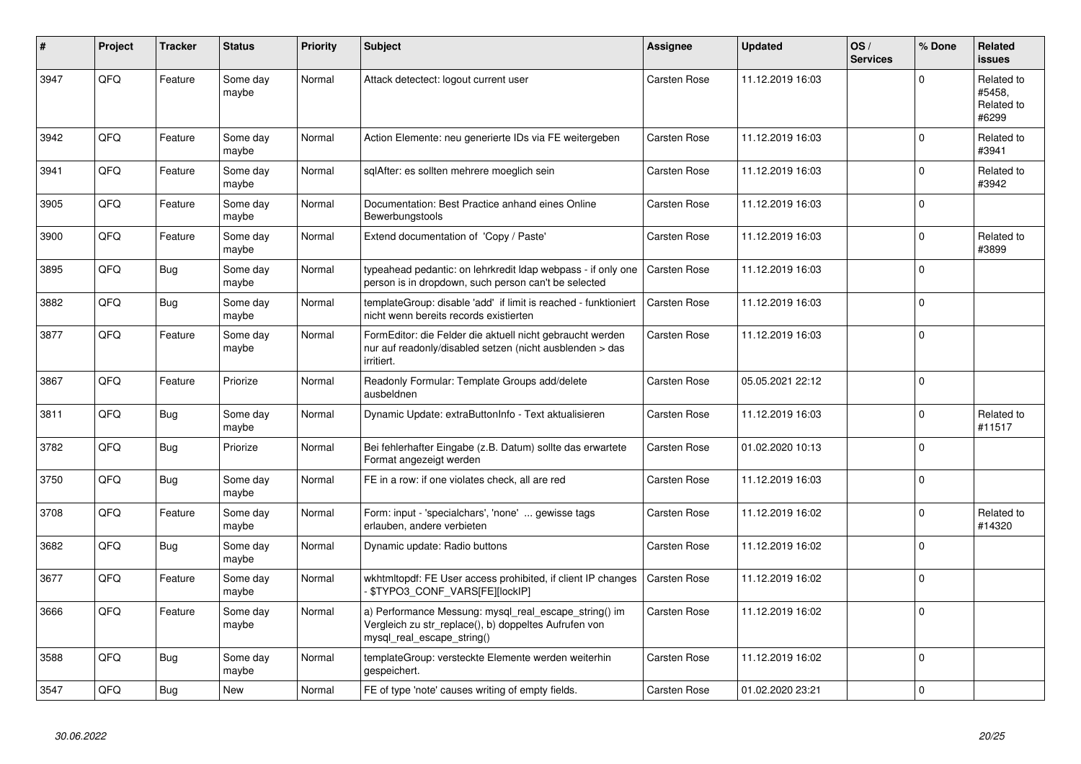| #    | Project | <b>Tracker</b> | <b>Status</b>     | <b>Priority</b> | <b>Subject</b>                                                                                                                               | Assignee            | <b>Updated</b>   | OS/<br><b>Services</b> | % Done      | <b>Related</b><br><b>issues</b>             |
|------|---------|----------------|-------------------|-----------------|----------------------------------------------------------------------------------------------------------------------------------------------|---------------------|------------------|------------------------|-------------|---------------------------------------------|
| 3947 | QFQ     | Feature        | Some day<br>maybe | Normal          | Attack detectect: logout current user                                                                                                        | Carsten Rose        | 11.12.2019 16:03 |                        | $\Omega$    | Related to<br>#5458,<br>Related to<br>#6299 |
| 3942 | QFQ     | Feature        | Some day<br>maybe | Normal          | Action Elemente: neu generierte IDs via FE weitergeben                                                                                       | Carsten Rose        | 11.12.2019 16:03 |                        | $\Omega$    | Related to<br>#3941                         |
| 3941 | QFQ     | Feature        | Some day<br>maybe | Normal          | sqlAfter: es sollten mehrere moeglich sein                                                                                                   | Carsten Rose        | 11.12.2019 16:03 |                        | $\Omega$    | Related to<br>#3942                         |
| 3905 | QFQ     | Feature        | Some day<br>maybe | Normal          | Documentation: Best Practice anhand eines Online<br>Bewerbungstools                                                                          | Carsten Rose        | 11.12.2019 16:03 |                        | $\mathbf 0$ |                                             |
| 3900 | QFQ     | Feature        | Some day<br>maybe | Normal          | Extend documentation of 'Copy / Paste'                                                                                                       | Carsten Rose        | 11.12.2019 16:03 |                        | $\mathbf 0$ | Related to<br>#3899                         |
| 3895 | QFQ     | <b>Bug</b>     | Some day<br>maybe | Normal          | typeahead pedantic: on lehrkredit Idap webpass - if only one<br>person is in dropdown, such person can't be selected                         | Carsten Rose        | 11.12.2019 16:03 |                        | $\mathbf 0$ |                                             |
| 3882 | QFQ     | <b>Bug</b>     | Some day<br>maybe | Normal          | templateGroup: disable 'add' if limit is reached - funktioniert<br>nicht wenn bereits records existierten                                    | Carsten Rose        | 11.12.2019 16:03 |                        | $\mathbf 0$ |                                             |
| 3877 | QFQ     | Feature        | Some day<br>maybe | Normal          | FormEditor: die Felder die aktuell nicht gebraucht werden<br>nur auf readonly/disabled setzen (nicht ausblenden > das<br>irritiert.          | Carsten Rose        | 11.12.2019 16:03 |                        | $\mathbf 0$ |                                             |
| 3867 | QFQ     | Feature        | Priorize          | Normal          | Readonly Formular: Template Groups add/delete<br>ausbeldnen                                                                                  | Carsten Rose        | 05.05.2021 22:12 |                        | $\Omega$    |                                             |
| 3811 | QFQ     | <b>Bug</b>     | Some day<br>maybe | Normal          | Dynamic Update: extraButtonInfo - Text aktualisieren                                                                                         | Carsten Rose        | 11.12.2019 16:03 |                        | $\Omega$    | Related to<br>#11517                        |
| 3782 | QFQ     | <b>Bug</b>     | Priorize          | Normal          | Bei fehlerhafter Eingabe (z.B. Datum) sollte das erwartete<br>Format angezeigt werden                                                        | Carsten Rose        | 01.02.2020 10:13 |                        | $\Omega$    |                                             |
| 3750 | QFQ     | <b>Bug</b>     | Some day<br>maybe | Normal          | FE in a row: if one violates check, all are red                                                                                              | Carsten Rose        | 11.12.2019 16:03 |                        | $\Omega$    |                                             |
| 3708 | QFQ     | Feature        | Some day<br>maybe | Normal          | Form: input - 'specialchars', 'none'  gewisse tags<br>erlauben, andere verbieten                                                             | Carsten Rose        | 11.12.2019 16:02 |                        | $\mathbf 0$ | Related to<br>#14320                        |
| 3682 | QFQ     | <b>Bug</b>     | Some day<br>maybe | Normal          | Dynamic update: Radio buttons                                                                                                                | Carsten Rose        | 11.12.2019 16:02 |                        | $\Omega$    |                                             |
| 3677 | QFQ     | Feature        | Some day<br>maybe | Normal          | wkhtmltopdf: FE User access prohibited, if client IP changes<br>\$TYPO3_CONF_VARS[FE][lockIP]                                                | Carsten Rose        | 11.12.2019 16:02 |                        | $\Omega$    |                                             |
| 3666 | QFQ     | Feature        | Some day<br>maybe | Normal          | a) Performance Messung: mysql_real_escape_string() im<br>Vergleich zu str_replace(), b) doppeltes Aufrufen von<br>mysql_real_escape_string() | Carsten Rose        | 11.12.2019 16:02 |                        | $\Omega$    |                                             |
| 3588 | QFQ     | Bug            | Some day<br>maybe | Normal          | templateGroup: versteckte Elemente werden weiterhin<br>gespeichert.                                                                          | Carsten Rose        | 11.12.2019 16:02 |                        | $\Omega$    |                                             |
| 3547 | QFQ     | Bug            | <b>New</b>        | Normal          | FE of type 'note' causes writing of empty fields.                                                                                            | <b>Carsten Rose</b> | 01.02.2020 23:21 |                        | $\mathbf 0$ |                                             |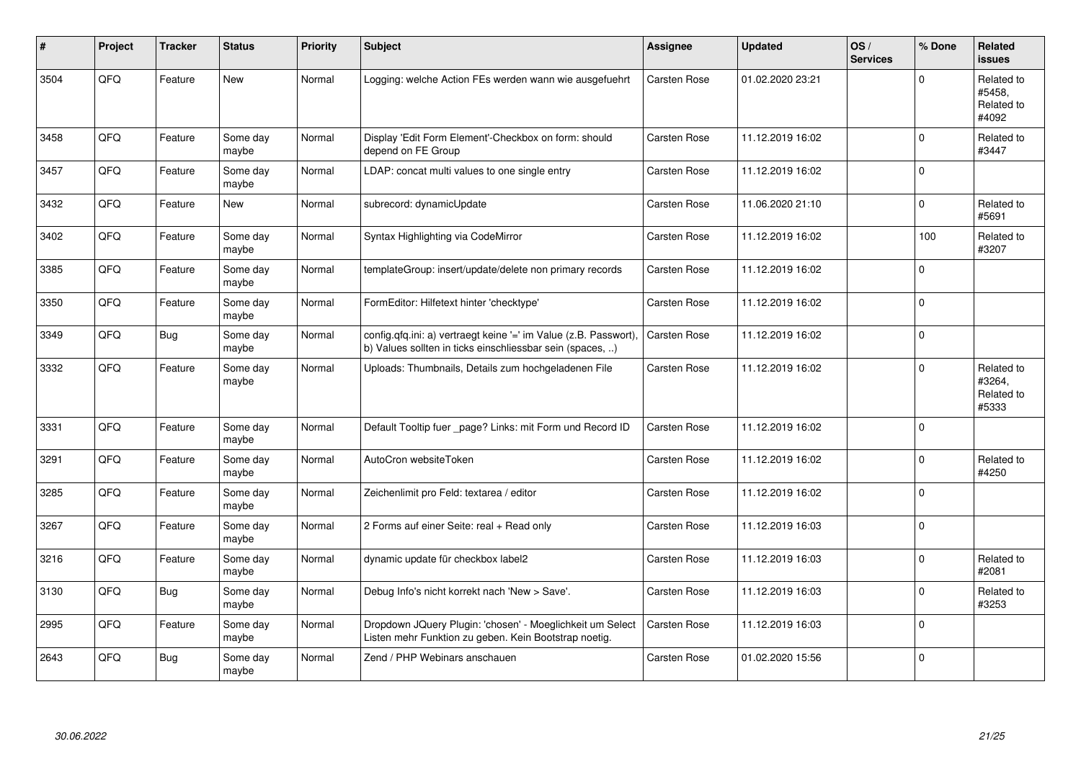| #    | Project | <b>Tracker</b> | <b>Status</b>     | <b>Priority</b> | <b>Subject</b>                                                                                                                | <b>Assignee</b>     | <b>Updated</b>   | OS/<br><b>Services</b> | % Done         | Related<br><b>issues</b>                    |
|------|---------|----------------|-------------------|-----------------|-------------------------------------------------------------------------------------------------------------------------------|---------------------|------------------|------------------------|----------------|---------------------------------------------|
| 3504 | QFQ     | Feature        | <b>New</b>        | Normal          | Logging: welche Action FEs werden wann wie ausgefuehrt                                                                        | Carsten Rose        | 01.02.2020 23:21 |                        | 0              | Related to<br>#5458,<br>Related to<br>#4092 |
| 3458 | QFQ     | Feature        | Some day<br>maybe | Normal          | Display 'Edit Form Element'-Checkbox on form: should<br>depend on FE Group                                                    | <b>Carsten Rose</b> | 11.12.2019 16:02 |                        | $\Omega$       | Related to<br>#3447                         |
| 3457 | QFQ     | Feature        | Some day<br>maybe | Normal          | LDAP: concat multi values to one single entry                                                                                 | <b>Carsten Rose</b> | 11.12.2019 16:02 |                        | $\Omega$       |                                             |
| 3432 | QFQ     | Feature        | New               | Normal          | subrecord: dynamicUpdate                                                                                                      | Carsten Rose        | 11.06.2020 21:10 |                        | $\overline{0}$ | Related to<br>#5691                         |
| 3402 | QFQ     | Feature        | Some day<br>maybe | Normal          | Syntax Highlighting via CodeMirror                                                                                            | Carsten Rose        | 11.12.2019 16:02 |                        | 100            | Related to<br>#3207                         |
| 3385 | QFQ     | Feature        | Some day<br>maybe | Normal          | templateGroup: insert/update/delete non primary records                                                                       | Carsten Rose        | 11.12.2019 16:02 |                        | $\Omega$       |                                             |
| 3350 | QFQ     | Feature        | Some day<br>maybe | Normal          | FormEditor: Hilfetext hinter 'checktype'                                                                                      | Carsten Rose        | 11.12.2019 16:02 |                        | $\Omega$       |                                             |
| 3349 | QFQ     | Bug            | Some day<br>maybe | Normal          | config.qfq.ini: a) vertraegt keine '=' im Value (z.B. Passwort),<br>b) Values sollten in ticks einschliessbar sein (spaces, ) | Carsten Rose        | 11.12.2019 16:02 |                        | 0              |                                             |
| 3332 | QFQ     | Feature        | Some day<br>maybe | Normal          | Uploads: Thumbnails, Details zum hochgeladenen File                                                                           | Carsten Rose        | 11.12.2019 16:02 |                        | 0              | Related to<br>#3264,<br>Related to<br>#5333 |
| 3331 | QFQ     | Feature        | Some day<br>maybe | Normal          | Default Tooltip fuer page? Links: mit Form und Record ID                                                                      | Carsten Rose        | 11.12.2019 16:02 |                        | 0              |                                             |
| 3291 | QFQ     | Feature        | Some day<br>maybe | Normal          | AutoCron websiteToken                                                                                                         | Carsten Rose        | 11.12.2019 16:02 |                        | $\overline{0}$ | Related to<br>#4250                         |
| 3285 | QFQ     | Feature        | Some day<br>maybe | Normal          | Zeichenlimit pro Feld: textarea / editor                                                                                      | Carsten Rose        | 11.12.2019 16:02 |                        | 0              |                                             |
| 3267 | QFQ     | Feature        | Some day<br>maybe | Normal          | 2 Forms auf einer Seite: real + Read only                                                                                     | <b>Carsten Rose</b> | 11.12.2019 16:03 |                        | 0              |                                             |
| 3216 | QFQ     | Feature        | Some day<br>maybe | Normal          | dynamic update für checkbox label2                                                                                            | Carsten Rose        | 11.12.2019 16:03 |                        | 0              | Related to<br>#2081                         |
| 3130 | QFQ     | <b>Bug</b>     | Some day<br>maybe | Normal          | Debug Info's nicht korrekt nach 'New > Save'.                                                                                 | <b>Carsten Rose</b> | 11.12.2019 16:03 |                        | 0              | Related to<br>#3253                         |
| 2995 | QFQ     | Feature        | Some day<br>maybe | Normal          | Dropdown JQuery Plugin: 'chosen' - Moeglichkeit um Select<br>Listen mehr Funktion zu geben. Kein Bootstrap noetig.            | Carsten Rose        | 11.12.2019 16:03 |                        | $\Omega$       |                                             |
| 2643 | QFQ     | Bug            | Some day<br>maybe | Normal          | Zend / PHP Webinars anschauen                                                                                                 | Carsten Rose        | 01.02.2020 15:56 |                        | 0              |                                             |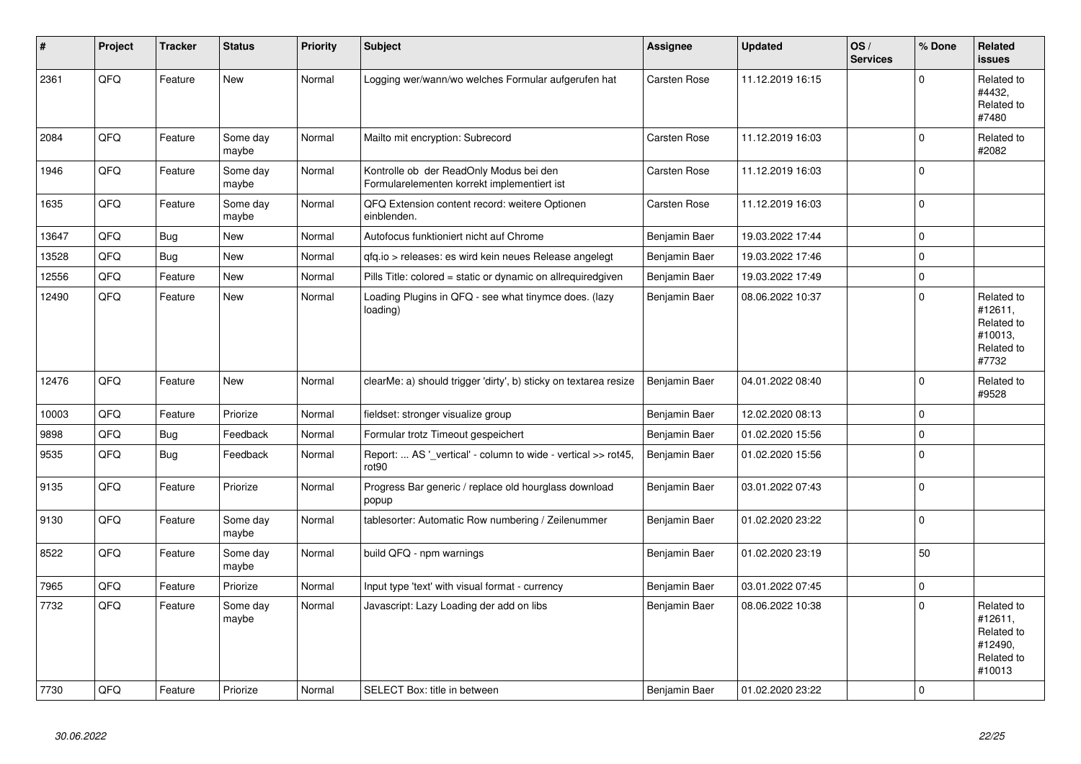| #     | Project | <b>Tracker</b> | <b>Status</b>     | <b>Priority</b> | Subject                                                                                | <b>Assignee</b>     | <b>Updated</b>   | OS/<br><b>Services</b> | % Done   | Related<br><b>issues</b>                                               |
|-------|---------|----------------|-------------------|-----------------|----------------------------------------------------------------------------------------|---------------------|------------------|------------------------|----------|------------------------------------------------------------------------|
| 2361  | QFQ     | Feature        | <b>New</b>        | Normal          | Logging wer/wann/wo welches Formular aufgerufen hat                                    | <b>Carsten Rose</b> | 11.12.2019 16:15 |                        | $\Omega$ | Related to<br>#4432,<br>Related to<br>#7480                            |
| 2084  | QFQ     | Feature        | Some day<br>maybe | Normal          | Mailto mit encryption: Subrecord                                                       | Carsten Rose        | 11.12.2019 16:03 |                        | 0        | Related to<br>#2082                                                    |
| 1946  | QFQ     | Feature        | Some day<br>maybe | Normal          | Kontrolle ob der ReadOnly Modus bei den<br>Formularelementen korrekt implementiert ist | Carsten Rose        | 11.12.2019 16:03 |                        | $\Omega$ |                                                                        |
| 1635  | QFQ     | Feature        | Some day<br>maybe | Normal          | QFQ Extension content record: weitere Optionen<br>einblenden.                          | Carsten Rose        | 11.12.2019 16:03 |                        | $\Omega$ |                                                                        |
| 13647 | QFQ     | Bug            | New               | Normal          | Autofocus funktioniert nicht auf Chrome                                                | Benjamin Baer       | 19.03.2022 17:44 |                        | 0        |                                                                        |
| 13528 | QFQ     | <b>Bug</b>     | <b>New</b>        | Normal          | qfq.io > releases: es wird kein neues Release angelegt                                 | Benjamin Baer       | 19.03.2022 17:46 |                        | 0        |                                                                        |
| 12556 | QFQ     | Feature        | New               | Normal          | Pills Title: colored = static or dynamic on allrequiredgiven                           | Benjamin Baer       | 19.03.2022 17:49 |                        | 0        |                                                                        |
| 12490 | QFQ     | Feature        | <b>New</b>        | Normal          | Loading Plugins in QFQ - see what tinymce does. (lazy<br>loading)                      | Benjamin Baer       | 08.06.2022 10:37 |                        | 0        | Related to<br>#12611,<br>Related to<br>#10013,<br>Related to<br>#7732  |
| 12476 | QFQ     | Feature        | <b>New</b>        | Normal          | clearMe: a) should trigger 'dirty', b) sticky on textarea resize                       | Benjamin Baer       | 04.01.2022 08:40 |                        | $\Omega$ | Related to<br>#9528                                                    |
| 10003 | QFQ     | Feature        | Priorize          | Normal          | fieldset: stronger visualize group                                                     | Benjamin Baer       | 12.02.2020 08:13 |                        | 0        |                                                                        |
| 9898  | QFQ     | <b>Bug</b>     | Feedback          | Normal          | Formular trotz Timeout gespeichert                                                     | Benjamin Baer       | 01.02.2020 15:56 |                        | 0        |                                                                        |
| 9535  | QFQ     | Bug            | Feedback          | Normal          | Report:  AS '_vertical' - column to wide - vertical >> rot45,<br>rot <sub>90</sub>     | Benjamin Baer       | 01.02.2020 15:56 |                        | $\Omega$ |                                                                        |
| 9135  | QFQ     | Feature        | Priorize          | Normal          | Progress Bar generic / replace old hourglass download<br>popup                         | Benjamin Baer       | 03.01.2022 07:43 |                        | 0        |                                                                        |
| 9130  | QFQ     | Feature        | Some day<br>maybe | Normal          | tablesorter: Automatic Row numbering / Zeilenummer                                     | Benjamin Baer       | 01.02.2020 23:22 |                        | 0        |                                                                        |
| 8522  | QFQ     | Feature        | Some day<br>maybe | Normal          | build QFQ - npm warnings                                                               | Benjamin Baer       | 01.02.2020 23:19 |                        | 50       |                                                                        |
| 7965  | QFQ     | Feature        | Priorize          | Normal          | Input type 'text' with visual format - currency                                        | Benjamin Baer       | 03.01.2022 07:45 |                        | 0        |                                                                        |
| 7732  | QFQ     | Feature        | Some day<br>maybe | Normal          | Javascript: Lazy Loading der add on libs                                               | Benjamin Baer       | 08.06.2022 10:38 |                        | $\Omega$ | Related to<br>#12611,<br>Related to<br>#12490,<br>Related to<br>#10013 |
| 7730  | QFQ     | Feature        | Priorize          | Normal          | SELECT Box: title in between                                                           | Benjamin Baer       | 01.02.2020 23:22 |                        | $\Omega$ |                                                                        |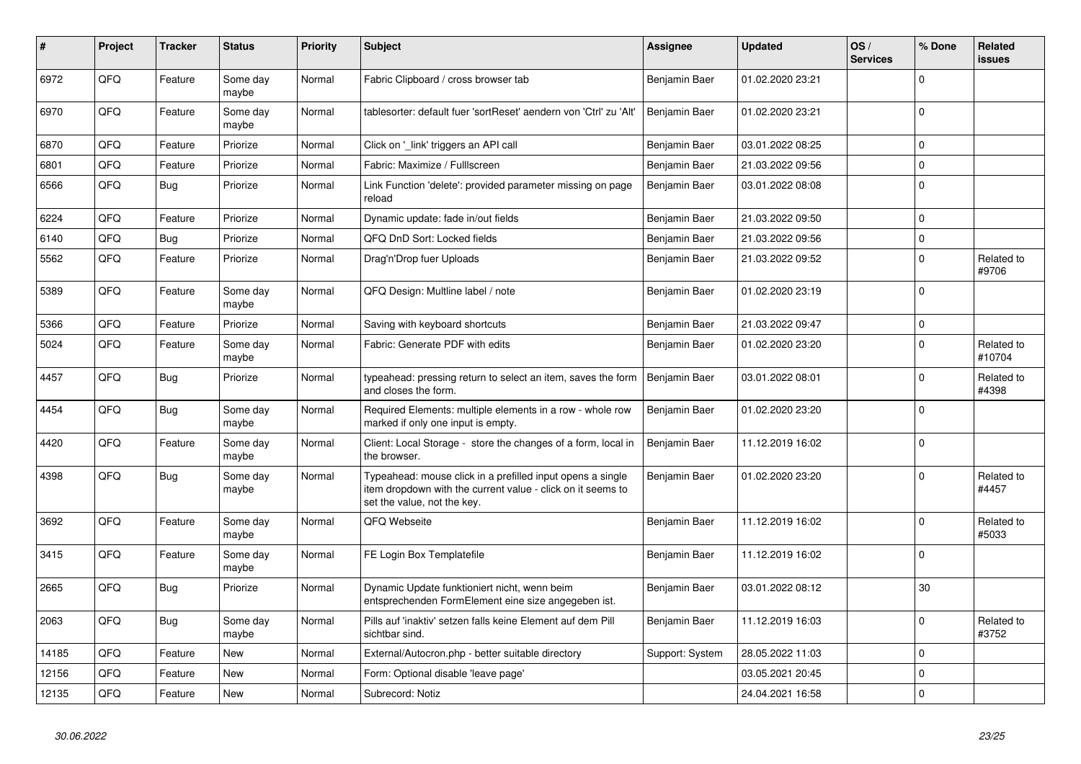| #     | Project | <b>Tracker</b> | <b>Status</b>     | <b>Priority</b> | <b>Subject</b>                                                                                                                                           | Assignee        | <b>Updated</b>   | OS/<br><b>Services</b> | % Done      | Related<br>issues    |
|-------|---------|----------------|-------------------|-----------------|----------------------------------------------------------------------------------------------------------------------------------------------------------|-----------------|------------------|------------------------|-------------|----------------------|
| 6972  | QFQ     | Feature        | Some day<br>maybe | Normal          | Fabric Clipboard / cross browser tab                                                                                                                     | Benjamin Baer   | 01.02.2020 23:21 |                        | $\Omega$    |                      |
| 6970  | QFQ     | Feature        | Some day<br>maybe | Normal          | tablesorter: default fuer 'sortReset' aendern von 'Ctrl' zu 'Alt'                                                                                        | Benjamin Baer   | 01.02.2020 23:21 |                        | $\mathbf 0$ |                      |
| 6870  | QFQ     | Feature        | Priorize          | Normal          | Click on 'link' triggers an API call                                                                                                                     | Benjamin Baer   | 03.01.2022 08:25 |                        | $\Omega$    |                      |
| 6801  | QFQ     | Feature        | Priorize          | Normal          | Fabric: Maximize / Fulllscreen                                                                                                                           | Benjamin Baer   | 21.03.2022 09:56 |                        | 0           |                      |
| 6566  | QFQ     | <b>Bug</b>     | Priorize          | Normal          | Link Function 'delete': provided parameter missing on page<br>reload                                                                                     | Benjamin Baer   | 03.01.2022 08:08 |                        | $\Omega$    |                      |
| 6224  | QFQ     | Feature        | Priorize          | Normal          | Dynamic update: fade in/out fields                                                                                                                       | Benjamin Baer   | 21.03.2022 09:50 |                        | 0           |                      |
| 6140  | QFQ     | Bug            | Priorize          | Normal          | QFQ DnD Sort: Locked fields                                                                                                                              | Benjamin Baer   | 21.03.2022 09:56 |                        | $\pmb{0}$   |                      |
| 5562  | QFQ     | Feature        | Priorize          | Normal          | Drag'n'Drop fuer Uploads                                                                                                                                 | Benjamin Baer   | 21.03.2022 09:52 |                        | $\mathbf 0$ | Related to<br>#9706  |
| 5389  | QFQ     | Feature        | Some day<br>maybe | Normal          | QFQ Design: Multline label / note                                                                                                                        | Benjamin Baer   | 01.02.2020 23:19 |                        | $\mathbf 0$ |                      |
| 5366  | QFQ     | Feature        | Priorize          | Normal          | Saving with keyboard shortcuts                                                                                                                           | Benjamin Baer   | 21.03.2022 09:47 |                        | $\pmb{0}$   |                      |
| 5024  | QFQ     | Feature        | Some day<br>maybe | Normal          | Fabric: Generate PDF with edits                                                                                                                          | Benjamin Baer   | 01.02.2020 23:20 |                        | $\mathbf 0$ | Related to<br>#10704 |
| 4457  | QFQ     | Bug            | Priorize          | Normal          | typeahead: pressing return to select an item, saves the form<br>and closes the form.                                                                     | Benjamin Baer   | 03.01.2022 08:01 |                        | $\mathbf 0$ | Related to<br>#4398  |
| 4454  | QFQ     | Bug            | Some day<br>maybe | Normal          | Required Elements: multiple elements in a row - whole row<br>marked if only one input is empty.                                                          | Benjamin Baer   | 01.02.2020 23:20 |                        | $\Omega$    |                      |
| 4420  | QFQ     | Feature        | Some day<br>maybe | Normal          | Client: Local Storage - store the changes of a form, local in<br>the browser.                                                                            | Benjamin Baer   | 11.12.2019 16:02 |                        | $\mathbf 0$ |                      |
| 4398  | QFQ     | <b>Bug</b>     | Some day<br>maybe | Normal          | Typeahead: mouse click in a prefilled input opens a single<br>item dropdown with the current value - click on it seems to<br>set the value, not the key. | Benjamin Baer   | 01.02.2020 23:20 |                        | $\mathbf 0$ | Related to<br>#4457  |
| 3692  | QFQ     | Feature        | Some day<br>maybe | Normal          | QFQ Webseite                                                                                                                                             | Benjamin Baer   | 11.12.2019 16:02 |                        | $\mathbf 0$ | Related to<br>#5033  |
| 3415  | QFQ     | Feature        | Some day<br>maybe | Normal          | FE Login Box Templatefile                                                                                                                                | Benjamin Baer   | 11.12.2019 16:02 |                        | $\mathbf 0$ |                      |
| 2665  | QFQ     | Bug            | Priorize          | Normal          | Dynamic Update funktioniert nicht, wenn beim<br>entsprechenden FormElement eine size angegeben ist.                                                      | Benjamin Baer   | 03.01.2022 08:12 |                        | 30          |                      |
| 2063  | QFQ     | <b>Bug</b>     | Some day<br>maybe | Normal          | Pills auf 'inaktiv' setzen falls keine Element auf dem Pill<br>sichtbar sind.                                                                            | Benjamin Baer   | 11.12.2019 16:03 |                        | $\mathbf 0$ | Related to<br>#3752  |
| 14185 | QFQ     | Feature        | New               | Normal          | External/Autocron.php - better suitable directory                                                                                                        | Support: System | 28.05.2022 11:03 |                        | $\mathbf 0$ |                      |
| 12156 | QFQ     | Feature        | <b>New</b>        | Normal          | Form: Optional disable 'leave page'                                                                                                                      |                 | 03.05.2021 20:45 |                        | $\mathbf 0$ |                      |
| 12135 | QFQ     | Feature        | <b>New</b>        | Normal          | Subrecord: Notiz                                                                                                                                         |                 | 24.04.2021 16:58 |                        | $\mathbf 0$ |                      |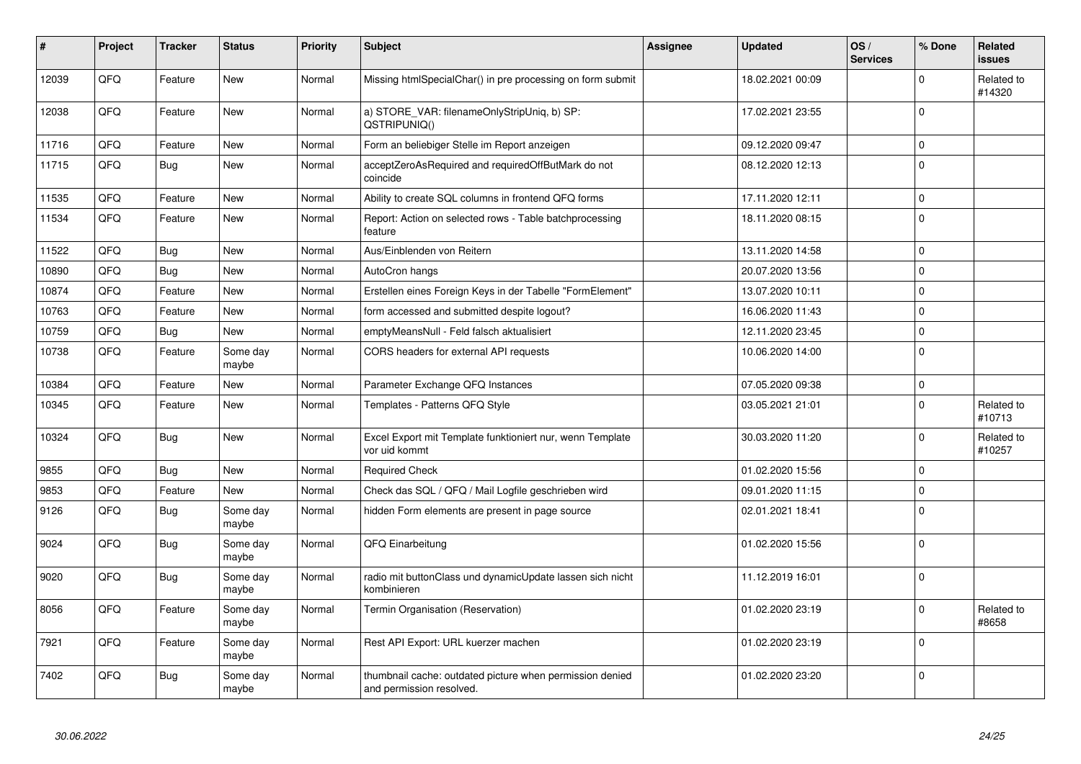| #     | Project | <b>Tracker</b> | <b>Status</b>     | <b>Priority</b> | <b>Subject</b>                                                                       | <b>Assignee</b> | <b>Updated</b>   | OS/<br><b>Services</b> | % Done      | Related<br>issues    |
|-------|---------|----------------|-------------------|-----------------|--------------------------------------------------------------------------------------|-----------------|------------------|------------------------|-------------|----------------------|
| 12039 | QFQ     | Feature        | <b>New</b>        | Normal          | Missing htmlSpecialChar() in pre processing on form submit                           |                 | 18.02.2021 00:09 |                        | $\Omega$    | Related to<br>#14320 |
| 12038 | QFQ     | Feature        | <b>New</b>        | Normal          | a) STORE_VAR: filenameOnlyStripUniq, b) SP:<br>QSTRIPUNIQ()                          |                 | 17.02.2021 23:55 |                        | 0           |                      |
| 11716 | QFQ     | Feature        | New               | Normal          | Form an beliebiger Stelle im Report anzeigen                                         |                 | 09.12.2020 09:47 |                        | 0           |                      |
| 11715 | QFQ     | <b>Bug</b>     | <b>New</b>        | Normal          | acceptZeroAsRequired and requiredOffButMark do not<br>coincide                       |                 | 08.12.2020 12:13 |                        | 0           |                      |
| 11535 | QFQ     | Feature        | <b>New</b>        | Normal          | Ability to create SQL columns in frontend QFQ forms                                  |                 | 17.11.2020 12:11 |                        | 0           |                      |
| 11534 | QFQ     | Feature        | <b>New</b>        | Normal          | Report: Action on selected rows - Table batchprocessing<br>feature                   |                 | 18.11.2020 08:15 |                        | 0           |                      |
| 11522 | QFQ     | Bug            | New               | Normal          | Aus/Einblenden von Reitern                                                           |                 | 13.11.2020 14:58 |                        | 0           |                      |
| 10890 | QFQ     | <b>Bug</b>     | <b>New</b>        | Normal          | AutoCron hangs                                                                       |                 | 20.07.2020 13:56 |                        | 0           |                      |
| 10874 | QFQ     | Feature        | New               | Normal          | Erstellen eines Foreign Keys in der Tabelle "FormElement"                            |                 | 13.07.2020 10:11 |                        | $\mathbf 0$ |                      |
| 10763 | QFQ     | Feature        | <b>New</b>        | Normal          | form accessed and submitted despite logout?                                          |                 | 16.06.2020 11:43 |                        | 0           |                      |
| 10759 | QFQ     | <b>Bug</b>     | New               | Normal          | emptyMeansNull - Feld falsch aktualisiert                                            |                 | 12.11.2020 23:45 |                        | $\pmb{0}$   |                      |
| 10738 | QFQ     | Feature        | Some day<br>maybe | Normal          | CORS headers for external API requests                                               |                 | 10.06.2020 14:00 |                        | $\mathbf 0$ |                      |
| 10384 | QFQ     | Feature        | <b>New</b>        | Normal          | Parameter Exchange QFQ Instances                                                     |                 | 07.05.2020 09:38 |                        | $\mathbf 0$ |                      |
| 10345 | QFQ     | Feature        | <b>New</b>        | Normal          | Templates - Patterns QFQ Style                                                       |                 | 03.05.2021 21:01 |                        | 0           | Related to<br>#10713 |
| 10324 | QFQ     | <b>Bug</b>     | New               | Normal          | Excel Export mit Template funktioniert nur, wenn Template<br>vor uid kommt           |                 | 30.03.2020 11:20 |                        | 0           | Related to<br>#10257 |
| 9855  | QFQ     | Bug            | New               | Normal          | <b>Required Check</b>                                                                |                 | 01.02.2020 15:56 |                        | 0           |                      |
| 9853  | QFQ     | Feature        | New               | Normal          | Check das SQL / QFQ / Mail Logfile geschrieben wird                                  |                 | 09.01.2020 11:15 |                        | $\mathbf 0$ |                      |
| 9126  | QFQ     | <b>Bug</b>     | Some day<br>maybe | Normal          | hidden Form elements are present in page source                                      |                 | 02.01.2021 18:41 |                        | 0           |                      |
| 9024  | QFQ     | Bug            | Some day<br>maybe | Normal          | QFQ Einarbeitung                                                                     |                 | 01.02.2020 15:56 |                        | 0           |                      |
| 9020  | QFQ     | <b>Bug</b>     | Some day<br>maybe | Normal          | radio mit buttonClass und dynamicUpdate lassen sich nicht<br>kombinieren             |                 | 11.12.2019 16:01 |                        | 0           |                      |
| 8056  | QFQ     | Feature        | Some day<br>maybe | Normal          | Termin Organisation (Reservation)                                                    |                 | 01.02.2020 23:19 |                        | $\mathbf 0$ | Related to<br>#8658  |
| 7921  | QFQ     | Feature        | Some day<br>maybe | Normal          | Rest API Export: URL kuerzer machen                                                  |                 | 01.02.2020 23:19 |                        | $\mathbf 0$ |                      |
| 7402  | QFQ     | Bug            | Some day<br>maybe | Normal          | thumbnail cache: outdated picture when permission denied<br>and permission resolved. |                 | 01.02.2020 23:20 |                        | $\mathbf 0$ |                      |